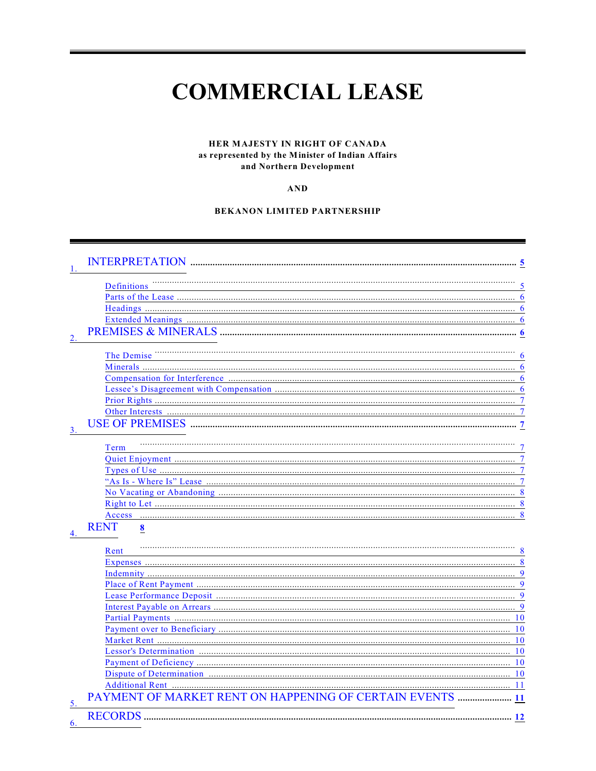# **COMMERCIAL LEASE**

#### HER MAJESTY IN RIGHT OF CANADA as represented by the Minister of Indian Affairs and Northern Development

 $AND$ 

#### **BEKANON LIMITED PARTNERSHIP**

|    | Definitions                                           |                |
|----|-------------------------------------------------------|----------------|
|    |                                                       | 6              |
|    |                                                       |                |
|    |                                                       |                |
|    |                                                       | 6              |
|    |                                                       |                |
|    | The Demise                                            |                |
|    |                                                       | 6              |
|    |                                                       |                |
|    |                                                       | 6              |
|    |                                                       | $\overline{7}$ |
|    |                                                       |                |
|    |                                                       | 7              |
|    |                                                       |                |
|    | Term                                                  |                |
|    |                                                       | 7              |
|    |                                                       | 7              |
|    |                                                       | 7              |
|    |                                                       | 8              |
|    |                                                       | 8              |
|    |                                                       |                |
|    | <b>RENT</b><br>$\boldsymbol{8}$                       |                |
|    | Rent                                                  |                |
|    |                                                       | 8              |
|    |                                                       | $\mathbf Q$    |
|    |                                                       | 9              |
|    |                                                       | $\mathbf Q$    |
|    |                                                       |                |
|    |                                                       | 10             |
|    |                                                       | 10             |
|    |                                                       | 10             |
|    |                                                       | 10             |
|    |                                                       | <b>10</b>      |
|    |                                                       | 10             |
|    |                                                       | 11             |
| 5  | PAYMENT OF MARKET RENT ON HAPPENING OF CERTAIN EVENTS |                |
| 6. | <b>RECORDS</b>                                        |                |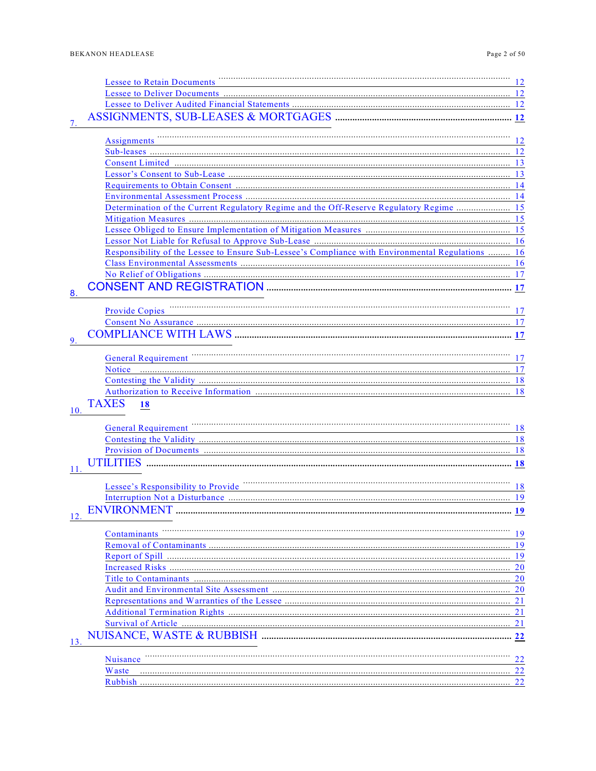| Page 2 of 50 |  |  |
|--------------|--|--|
|--------------|--|--|

|     | <b>Lessee to Retain Documents</b>                                                                 | 12        |
|-----|---------------------------------------------------------------------------------------------------|-----------|
|     |                                                                                                   |           |
|     |                                                                                                   |           |
|     |                                                                                                   |           |
|     |                                                                                                   |           |
|     | Assignments                                                                                       | 12        |
|     |                                                                                                   |           |
|     |                                                                                                   |           |
|     |                                                                                                   |           |
|     |                                                                                                   |           |
|     |                                                                                                   |           |
|     | Determination of the Current Regulatory Regime and the Off-Reserve Regulatory Regime  15          |           |
|     |                                                                                                   |           |
|     |                                                                                                   |           |
|     |                                                                                                   |           |
|     | Responsibility of the Lessee to Ensure Sub-Lessee's Compliance with Environmental Regulations  16 |           |
|     |                                                                                                   |           |
|     |                                                                                                   | -17       |
|     |                                                                                                   |           |
| 8   |                                                                                                   |           |
|     | <b>Provide Copies</b>                                                                             | 17        |
|     |                                                                                                   |           |
|     |                                                                                                   |           |
| 9   |                                                                                                   |           |
|     | <b>General Requirement</b>                                                                        | 17        |
|     | <b>Notice</b>                                                                                     |           |
|     |                                                                                                   |           |
|     |                                                                                                   |           |
|     | <b>TAXES</b><br><b>18</b>                                                                         |           |
| 10. |                                                                                                   |           |
|     | <b>General Requirement</b>                                                                        | 18        |
|     |                                                                                                   |           |
|     |                                                                                                   | -18       |
|     |                                                                                                   |           |
|     |                                                                                                   |           |
|     |                                                                                                   |           |
|     | Lessee's Responsibility to Provide                                                                | 18        |
|     |                                                                                                   |           |
|     | <b>ENVIRONMENT</b>                                                                                | 19        |
|     |                                                                                                   |           |
|     | Contaminants                                                                                      | 19        |
|     |                                                                                                   | 19        |
|     |                                                                                                   |           |
|     |                                                                                                   | 20        |
|     |                                                                                                   | <b>20</b> |
|     |                                                                                                   | <b>20</b> |
|     |                                                                                                   | 21        |
|     |                                                                                                   | 21        |
|     |                                                                                                   |           |
| 13. |                                                                                                   |           |
|     |                                                                                                   |           |
|     | Nuisance                                                                                          | 22        |
|     | <b>W</b> aste                                                                                     |           |
|     |                                                                                                   | 22        |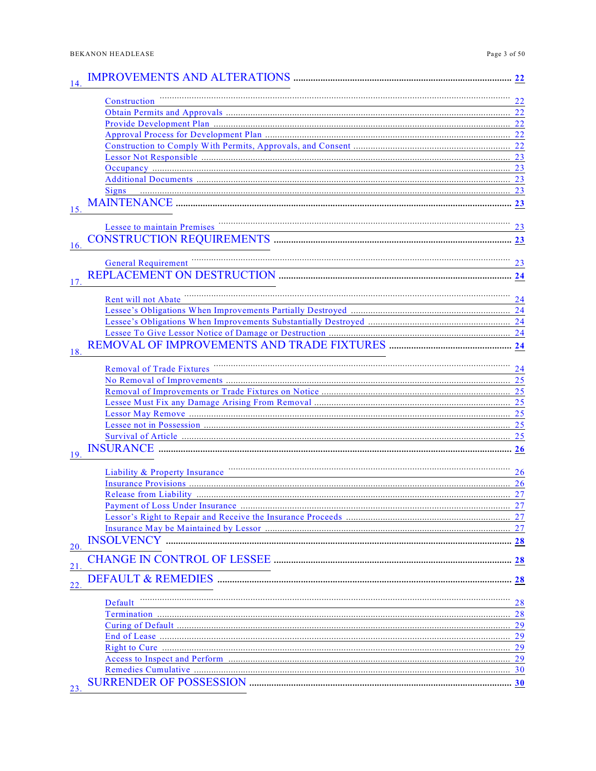|     | Construction                                                                                 |    |
|-----|----------------------------------------------------------------------------------------------|----|
|     | <u> 1989 - Johann Barn, amerikansk politiker (d. 1989)</u>                                   |    |
|     |                                                                                              |    |
|     |                                                                                              |    |
|     |                                                                                              |    |
|     |                                                                                              |    |
|     |                                                                                              |    |
|     |                                                                                              |    |
|     |                                                                                              |    |
|     | <b>Signs</b>                                                                                 |    |
|     |                                                                                              |    |
|     | Lessee to maintain Premises                                                                  | 23 |
|     |                                                                                              |    |
| 16. |                                                                                              |    |
|     | <b>General Requirement</b>                                                                   |    |
|     |                                                                                              |    |
|     |                                                                                              |    |
|     | Rent will not Abate                                                                          |    |
|     |                                                                                              |    |
|     |                                                                                              |    |
|     |                                                                                              |    |
|     |                                                                                              |    |
| 18. |                                                                                              |    |
|     | <b>Removal of Trade Fixtures</b>                                                             | 24 |
|     |                                                                                              |    |
|     |                                                                                              |    |
|     |                                                                                              |    |
|     |                                                                                              |    |
|     |                                                                                              |    |
|     |                                                                                              |    |
|     |                                                                                              |    |
| 19. |                                                                                              |    |
|     | Liability & Property Insurance <b>Commission Commission</b> Commission Commission Commission | 26 |
|     |                                                                                              |    |
|     |                                                                                              |    |
|     |                                                                                              |    |
|     |                                                                                              |    |
|     |                                                                                              |    |
|     |                                                                                              |    |
| 20. |                                                                                              |    |
| 21  |                                                                                              |    |
| 22  |                                                                                              |    |
|     | Default                                                                                      | 28 |
|     |                                                                                              |    |
|     |                                                                                              |    |
|     |                                                                                              |    |
|     |                                                                                              |    |
|     |                                                                                              |    |
|     |                                                                                              |    |
|     |                                                                                              |    |
|     |                                                                                              |    |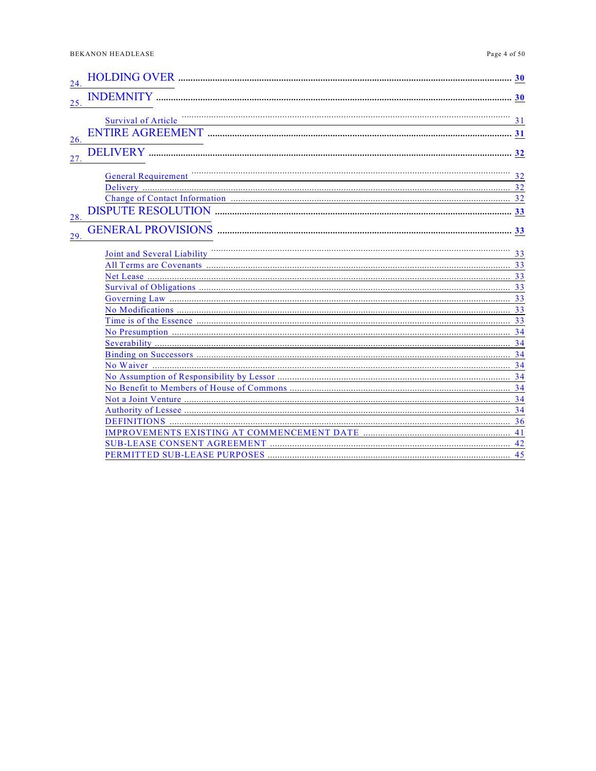| 24. |                             |    |
|-----|-----------------------------|----|
| 25. |                             |    |
| 26. | <b>Survival of Article</b>  | 31 |
| 27. |                             |    |
|     | <b>General Requirement</b>  | 32 |
|     |                             |    |
| 28. |                             |    |
| 29. |                             |    |
|     | Joint and Several Liability | 33 |
|     |                             |    |
|     |                             |    |
|     |                             |    |
|     |                             | 34 |
|     |                             |    |
|     |                             |    |
|     |                             |    |
|     |                             |    |
|     |                             |    |
|     |                             |    |
|     |                             |    |
|     |                             |    |
|     |                             |    |
|     |                             |    |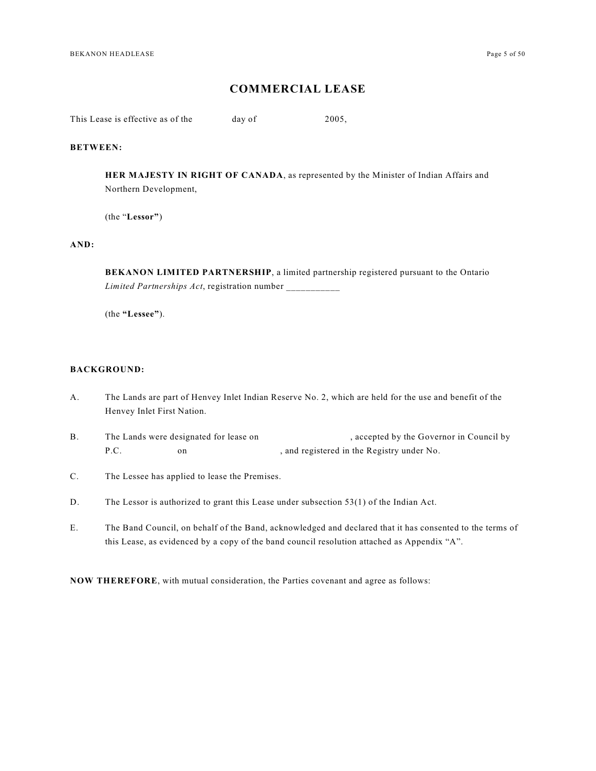### **COMMERCIAL LEASE**

This Lease is effective as of the day of 2005,

#### **BETWEEN:**

**HER MAJESTY IN RIGHT OF CANADA**, as represented by the Minister of Indian Affairs and Northern Development,

(the "**Lessor"**)

#### **AND:**

**BEKANON LIMITED PARTNERSHIP**, a limited partnership registered pursuant to the Ontario *Limited Partnerships Act*, registration number \_\_\_\_\_\_\_\_\_\_\_

(the **"Lessee"**).

#### **BACKGROUND:**

- A. The Lands are part of Henvey Inlet Indian Reserve No. 2, which are held for the use and benefit of the Henvey Inlet First Nation.
- B. The Lands were designated for lease on , accepted by the Governor in Council by P.C. on on the Registered in the Registry under No.
- C. The Lessee has applied to lease the Premises.
- D. The Lessor is authorized to grant this Lease under subsection 53(1) of the Indian Act.
- E. The Band Council, on behalf of the Band, acknowledged and declared that it has consented to the terms of this Lease, as evidenced by a copy of the band council resolution attached as Appendix "A".

**NOW THEREFORE**, with mutual consideration, the Parties covenant and agree as follows: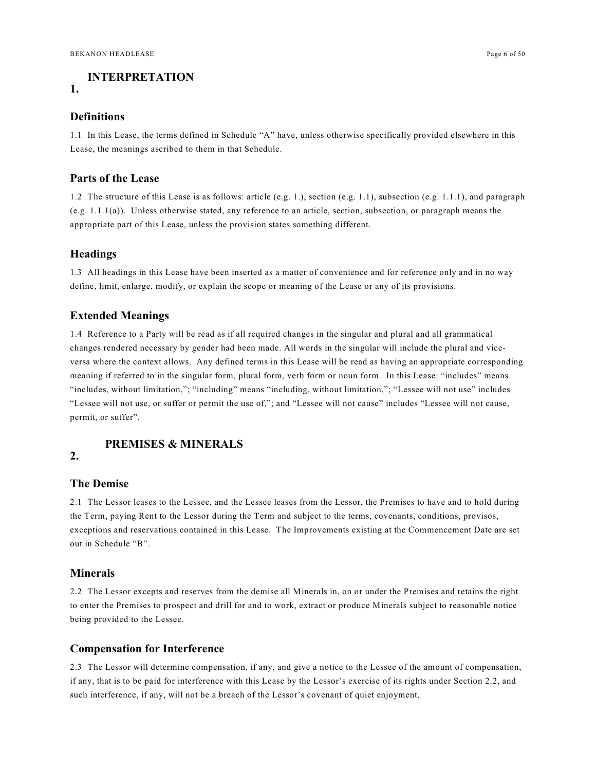### <span id="page-5-0"></span>**INTERPRETATION**

### **1.**

#### <span id="page-5-1"></span>**Definitions**

1.1 In this Lease, the terms defined in Schedule "A" have, unless otherwise specifically provided elsewhere in this Lease, the meanings ascribed to them in that Schedule.

### <span id="page-5-2"></span>**Parts of the Lease**

1.2 The structure of this Lease is as follows: article (e.g. 1.), section (e.g. 1.1), subsection (e.g. 1.1.1), and paragraph (e.g. 1.1.1(a)). Unless otherwise stated, any reference to an article, section, subsection, or paragraph means the appropriate part of this Lease, unless the provision states something different.

#### <span id="page-5-3"></span>**Headings**

1.3 All headings in this Lease have been inserted as a matter of convenience and for reference only and in no way define, limit, enlarge, modify, or explain the scope or meaning of the Lease or any of its provisions.

#### <span id="page-5-4"></span>**Extended Meanings**

1.4 Reference to a Party will be read as if all required changes in the singular and plural and all grammatical changes rendered necessary by gender had been made. All words in the singular will include the plural and viceversa where the context allows. Any defined terms in this Lease will be read as having an appropriate corresponding meaning if referred to in the singular form, plural form, verb form or noun form. In this Lease: "includes" means "includes, without limitation,"; "including" means "including, without limitation,"; "Lessee will not use" includes "Lessee will not use, or suffer or permit the use of,"; and "Lessee will not cause" includes "Lessee will not cause, permit, or suffer".

### <span id="page-5-5"></span>**PREMISES & MINERALS**

### **2.**

#### <span id="page-5-6"></span>**The Demise**

2.1 The Lessor leases to the Lessee, and the Lessee leases from the Lessor, the Premises to have and to hold during the Term, paying Rent to the Lessor during the Term and subject to the terms, covenants, conditions, provisos, exceptions and reservations contained in this Lease. The Improvements existing at the Commencement Date are set out in Schedule "B".

#### <span id="page-5-7"></span>**Minerals**

2.2 The Lessor excepts and reserves from the demise all Minerals in, on or under the Premises and retains the right to enter the Premises to prospect and drill for and to work, extract or produce Minerals subject to reasonable notice being provided to the Lessee.

### <span id="page-5-8"></span>**Compensation for Interference**

2.3 The Lessor will determine compensation, if any, and give a notice to the Lessee of the amount of compensation, if any, that is to be paid for interference with this Lease by the Lessor's exercise of its rights under Section 2.2, and such interference, if any, will not be a breach of the Lessor's covenant of quiet enjoyment.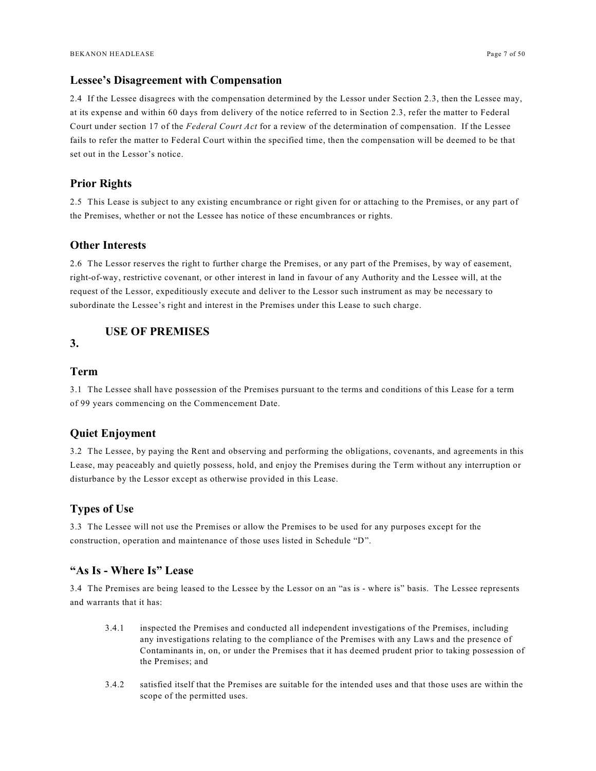### <span id="page-6-0"></span>**Lessee's Disagreement with Compensation**

2.4 If the Lessee disagrees with the compensation determined by the Lessor under Section 2.3, then the Lessee may, at its expense and within 60 days from delivery of the notice referred to in Section 2.3, refer the matter to Federal Court under section 17 of the *Federal Court Act* for a review of the determination of compensation. If the Lessee fails to refer the matter to Federal Court within the specified time, then the compensation will be deemed to be that set out in the Lessor's notice.

### <span id="page-6-1"></span>**Prior Rights**

2.5 This Lease is subject to any existing encumbrance or right given for or attaching to the Premises, or any part of the Premises, whether or not the Lessee has notice of these encumbrances or rights.

### <span id="page-6-2"></span>**Other Interests**

2.6 The Lessor reserves the right to further charge the Premises, or any part of the Premises, by way of easement, right-of-way, restrictive covenant, or other interest in land in favour of any Authority and the Lessee will, at the request of the Lessor, expeditiously execute and deliver to the Lessor such instrument as may be necessary to subordinate the Lessee's right and interest in the Premises under this Lease to such charge.

### <span id="page-6-3"></span>**USE OF PREMISES**

### **3.**

### <span id="page-6-4"></span>**Term**

3.1 The Lessee shall have possession of the Premises pursuant to the terms and conditions of this Lease for a term of 99 years commencing on the Commencement Date.

### <span id="page-6-5"></span>**Quiet Enjoyment**

3.2 The Lessee, by paying the Rent and observing and performing the obligations, covenants, and agreements in this Lease, may peaceably and quietly possess, hold, and enjoy the Premises during the Term without any interruption or disturbance by the Lessor except as otherwise provided in this Lease.

### <span id="page-6-6"></span>**Types of Use**

3.3 The Lessee will not use the Premises or allow the Premises to be used for any purposes except for the construction, operation and maintenance of those uses listed in Schedule "D".

### <span id="page-6-7"></span>**"As Is - Where Is" Lease**

3.4 The Premises are being leased to the Lessee by the Lessor on an "as is - where is" basis. The Lessee represents and warrants that it has:

- 3.4.1 inspected the Premises and conducted all independent investigations of the Premises, including any investigations relating to the compliance of the Premises with any Laws and the presence of Contaminants in, on, or under the Premises that it has deemed prudent prior to taking possession of the Premises; and
- 3.4.2 satisfied itself that the Premises are suitable for the intended uses and that those uses are within the scope of the permitted uses.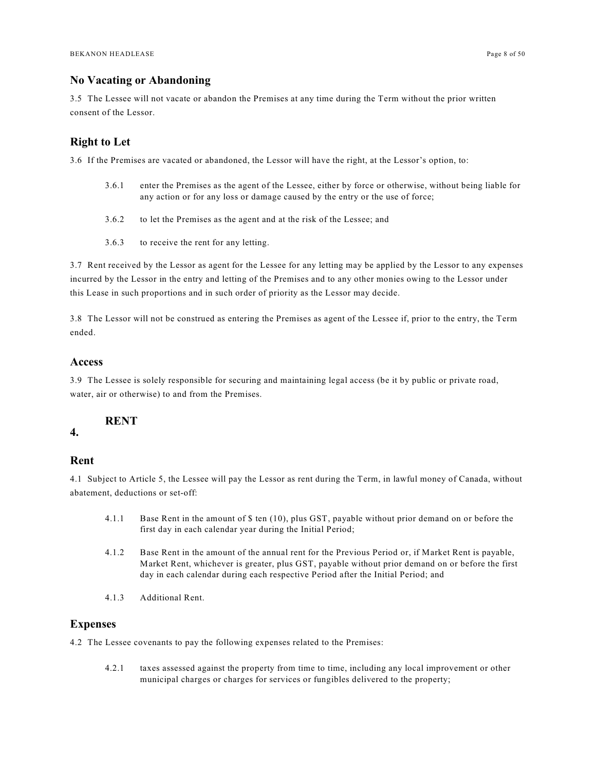### <span id="page-7-0"></span>**No Vacating or Abandoning**

3.5 The Lessee will not vacate or abandon the Premises at any time during the Term without the prior written consent of the Lessor.

### <span id="page-7-1"></span>**Right to Let**

3.6 If the Premises are vacated or abandoned, the Lessor will have the right, at the Lessor's option, to:

- 3.6.1 enter the Premises as the agent of the Lessee, either by force or otherwise, without being liable for any action or for any loss or damage caused by the entry or the use of force;
- 3.6.2 to let the Premises as the agent and at the risk of the Lessee; and
- 3.6.3 to receive the rent for any letting.

3.7 Rent received by the Lessor as agent for the Lessee for any letting may be applied by the Lessor to any expenses incurred by the Lessor in the entry and letting of the Premises and to any other monies owing to the Lessor under this Lease in such proportions and in such order of priority as the Lessor may decide.

3.8 The Lessor will not be construed as entering the Premises as agent of the Lessee if, prior to the entry, the Term ended.

### <span id="page-7-2"></span>**Access**

3.9 The Lessee is solely responsible for securing and maintaining legal access (be it by public or private road, water, air or otherwise) to and from the Premises.

### <span id="page-7-3"></span>**RENT**

**4.**

### <span id="page-7-4"></span>**Rent**

4.1 Subject to Article 5, the Lessee will pay the Lessor as rent during the Term, in lawful money of Canada, without abatement, deductions or set-off:

- 4.1.1 Base Rent in the amount of \$ ten (10), plus GST, payable without prior demand on or before the first day in each calendar year during the Initial Period;
- 4.1.2 Base Rent in the amount of the annual rent for the Previous Period or, if Market Rent is payable, Market Rent, whichever is greater, plus GST, payable without prior demand on or before the first day in each calendar during each respective Period after the Initial Period; and
- 4.1.3 Additional Rent.

### <span id="page-7-5"></span>**Expenses**

4.2 The Lessee covenants to pay the following expenses related to the Premises:

4.2.1 taxes assessed against the property from time to time, including any local improvement or other municipal charges or charges for services or fungibles delivered to the property;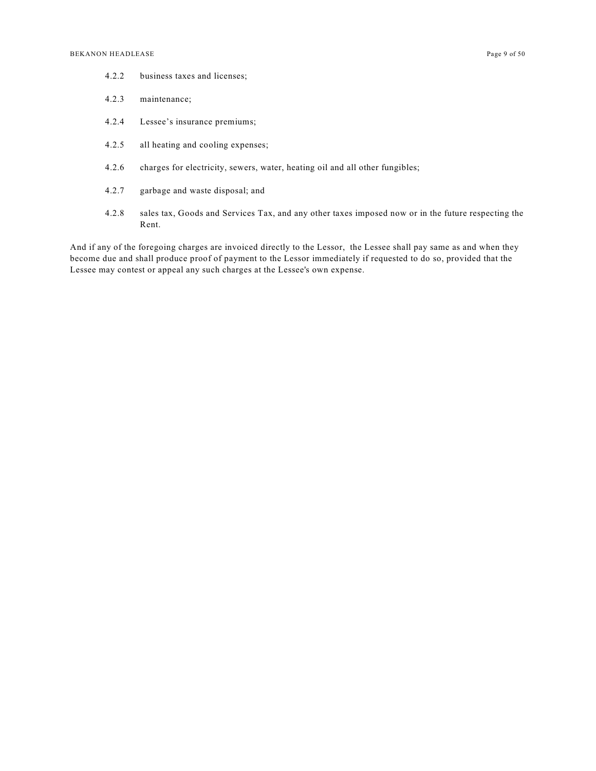- 4.2.2 business taxes and licenses;
- 4.2.3 maintenance;
- 4.2.4 Lessee's insurance premiums;
- 4.2.5 all heating and cooling expenses;
- 4.2.6 charges for electricity, sewers, water, heating oil and all other fungibles;
- 4.2.7 garbage and waste disposal; and
- 4.2.8 sales tax, Goods and Services Tax, and any other taxes imposed now or in the future respecting the Rent.

And if any of the foregoing charges are invoiced directly to the Lessor, the Lessee shall pay same as and when they become due and shall produce proof of payment to the Lessor immediately if requested to do so, provided that the Lessee may contest or appeal any such charges at the Lessee's own expense.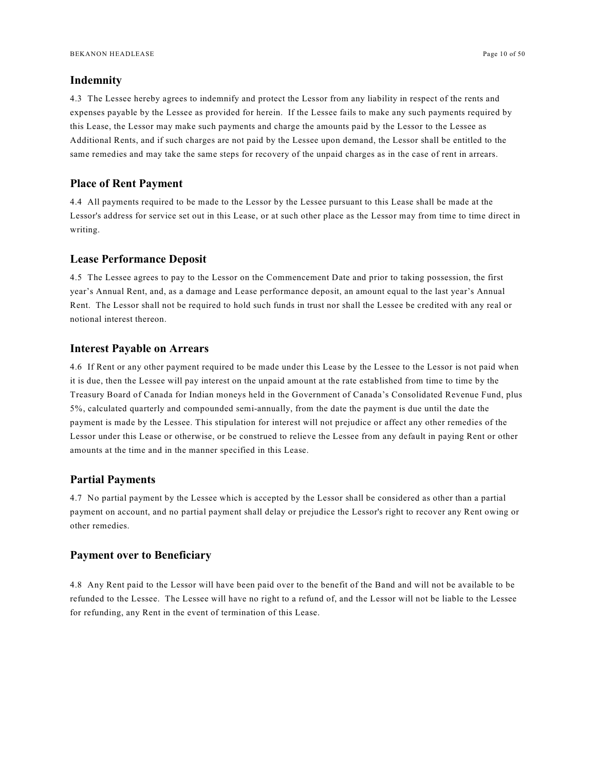#### <span id="page-9-0"></span>**Indemnity**

4.3 The Lessee hereby agrees to indemnify and protect the Lessor from any liability in respect of the rents and expenses payable by the Lessee as provided for herein. If the Lessee fails to make any such payments required by this Lease, the Lessor may make such payments and charge the amounts paid by the Lessor to the Lessee as Additional Rents, and if such charges are not paid by the Lessee upon demand, the Lessor shall be entitled to the same remedies and may take the same steps for recovery of the unpaid charges as in the case of rent in arrears.

#### <span id="page-9-1"></span>**Place of Rent Payment**

4.4 All payments required to be made to the Lessor by the Lessee pursuant to this Lease shall be made at the Lessor's address for service set out in this Lease, or at such other place as the Lessor may from time to time direct in writing.

### <span id="page-9-2"></span>**Lease Performance Deposit**

4.5 The Lessee agrees to pay to the Lessor on the Commencement Date and prior to taking possession, the first year's Annual Rent, and, as a damage and Lease performance deposit, an amount equal to the last year's Annual Rent. The Lessor shall not be required to hold such funds in trust nor shall the Lessee be credited with any real or notional interest thereon.

#### <span id="page-9-3"></span>**Interest Payable on Arrears**

4.6 If Rent or any other payment required to be made under this Lease by the Lessee to the Lessor is not paid when it is due, then the Lessee will pay interest on the unpaid amount at the rate established from time to time by the Treasury Board of Canada for Indian moneys held in the Government of Canada's Consolidated Revenue Fund, plus 5%, calculated quarterly and compounded semi-annually, from the date the payment is due until the date the payment is made by the Lessee. This stipulation for interest will not prejudice or affect any other remedies of the Lessor under this Lease or otherwise, or be construed to relieve the Lessee from any default in paying Rent or other amounts at the time and in the manner specified in this Lease.

#### <span id="page-9-4"></span>**Partial Payments**

4.7 No partial payment by the Lessee which is accepted by the Lessor shall be considered as other than a partial payment on account, and no partial payment shall delay or prejudice the Lessor's right to recover any Rent owing or other remedies.

#### <span id="page-9-5"></span>**Payment over to Beneficiary**

4.8 Any Rent paid to the Lessor will have been paid over to the benefit of the Band and will not be available to be refunded to the Lessee. The Lessee will have no right to a refund of, and the Lessor will not be liable to the Lessee for refunding, any Rent in the event of termination of this Lease.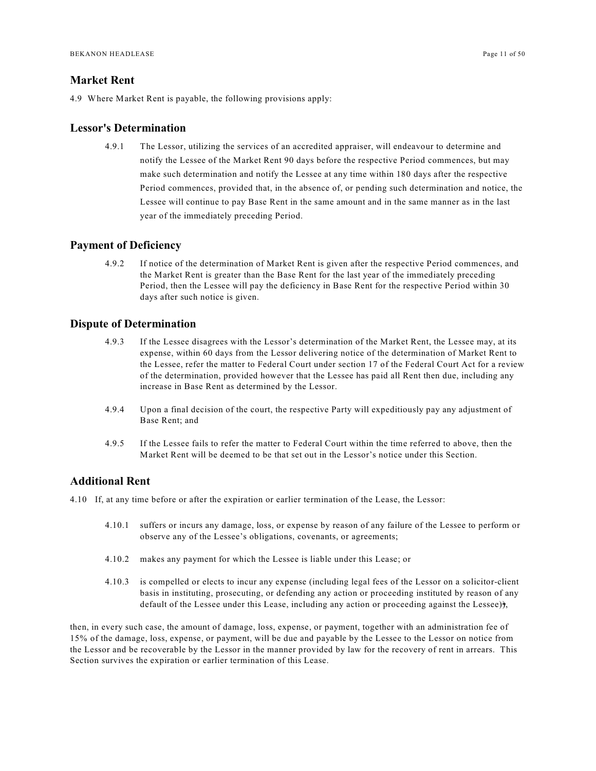### <span id="page-10-0"></span>**Market Rent**

4.9 Where Market Rent is payable, the following provisions apply:

#### <span id="page-10-1"></span>**Lessor's Determination**

4.9.1 The Lessor, utilizing the services of an accredited appraiser, will endeavour to determine and notify the Lessee of the Market Rent 90 days before the respective Period commences, but may make such determination and notify the Lessee at any time within 180 days after the respective Period commences, provided that, in the absence of, or pending such determination and notice, the Lessee will continue to pay Base Rent in the same amount and in the same manner as in the last year of the immediately preceding Period.

#### <span id="page-10-2"></span>**Payment of Deficiency**

4.9.2 If notice of the determination of Market Rent is given after the respective Period commences, and the Market Rent is greater than the Base Rent for the last year of the immediately preceding Period, then the Lessee will pay the deficiency in Base Rent for the respective Period within 30 days after such notice is given.

### <span id="page-10-3"></span>**Dispute of Determination**

- 4.9.3 If the Lessee disagrees with the Lessor's determination of the Market Rent, the Lessee may, at its expense, within 60 days from the Lessor delivering notice of the determination of Market Rent to the Lessee, refer the matter to Federal Court under section 17 of the Federal Court Act for a review of the determination, provided however that the Lessee has paid all Rent then due, including any increase in Base Rent as determined by the Lessor.
- 4.9.4 Upon a final decision of the court, the respective Party will expeditiously pay any adjustment of Base Rent; and
- 4.9.5 If the Lessee fails to refer the matter to Federal Court within the time referred to above, then the Market Rent will be deemed to be that set out in the Lessor's notice under this Section.

### <span id="page-10-4"></span>**Additional Rent**

4.10 If, at any time before or after the expiration or earlier termination of the Lease, the Lessor:

- 4.10.1 suffers or incurs any damage, loss, or expense by reason of any failure of the Lessee to perform or observe any of the Lessee's obligations, covenants, or agreements;
- 4.10.2 makes any payment for which the Lessee is liable under this Lease; or
- 4.10.3 is compelled or elects to incur any expense (including legal fees of the Lessor on a solicitor-client basis in instituting, prosecuting, or defending any action or proceeding instituted by reason of any default of the Lessee under this Lease, including any action or proceeding against the Lessee)),

then, in every such case, the amount of damage, loss, expense, or payment, together with an administration fee of 15% of the damage, loss, expense, or payment, will be due and payable by the Lessee to the Lessor on notice from the Lessor and be recoverable by the Lessor in the manner provided by law for the recovery of rent in arrears. This Section survives the expiration or earlier termination of this Lease.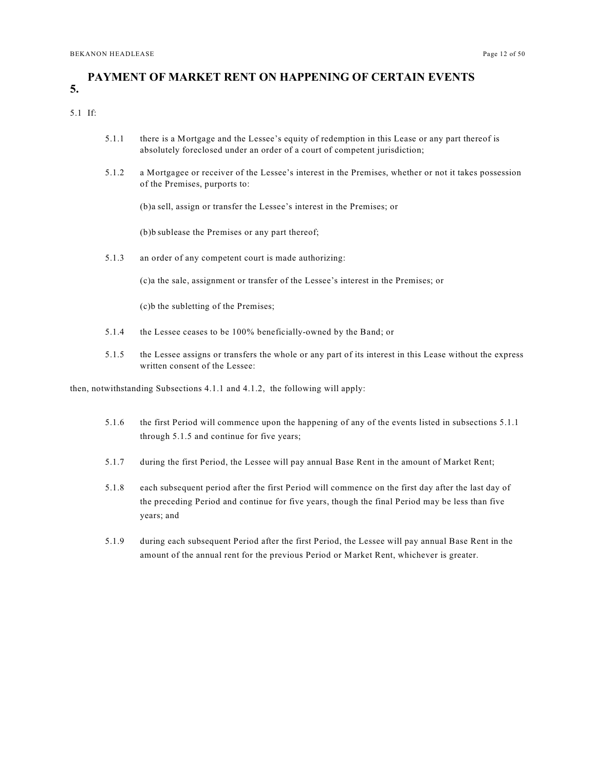### <span id="page-11-0"></span>**5. PAYMENT OF MARKET RENT ON HAPPENING OF CERTAIN EVENTS**

#### 5.1 If:

- 5.1.1 there is a Mortgage and the Lessee's equity of redemption in this Lease or any part thereof is absolutely foreclosed under an order of a court of competent jurisdiction;
- 5.1.2 a Mortgagee or receiver of the Lessee's interest in the Premises, whether or not it takes possession of the Premises, purports to:

(b)a sell, assign or transfer the Lessee's interest in the Premises; or

(b)b sublease the Premises or any part thereof;

5.1.3 an order of any competent court is made authorizing:

(c)a the sale, assignment or transfer of the Lessee's interest in the Premises; or

(c)b the subletting of the Premises;

- 5.1.4 the Lessee ceases to be 100% beneficially-owned by the Band; or
- 5.1.5 the Lessee assigns or transfers the whole or any part of its interest in this Lease without the express written consent of the Lessee:

then, notwithstanding Subsections 4.1.1 and 4.1.2, the following will apply:

- 5.1.6 the first Period will commence upon the happening of any of the events listed in subsections 5.1.1 through 5.1.5 and continue for five years;
- 5.1.7 during the first Period, the Lessee will pay annual Base Rent in the amount of Market Rent;
- 5.1.8 each subsequent period after the first Period will commence on the first day after the last day of the preceding Period and continue for five years, though the final Period may be less than five years; and
- 5.1.9 during each subsequent Period after the first Period, the Lessee will pay annual Base Rent in the amount of the annual rent for the previous Period or Market Rent, whichever is greater.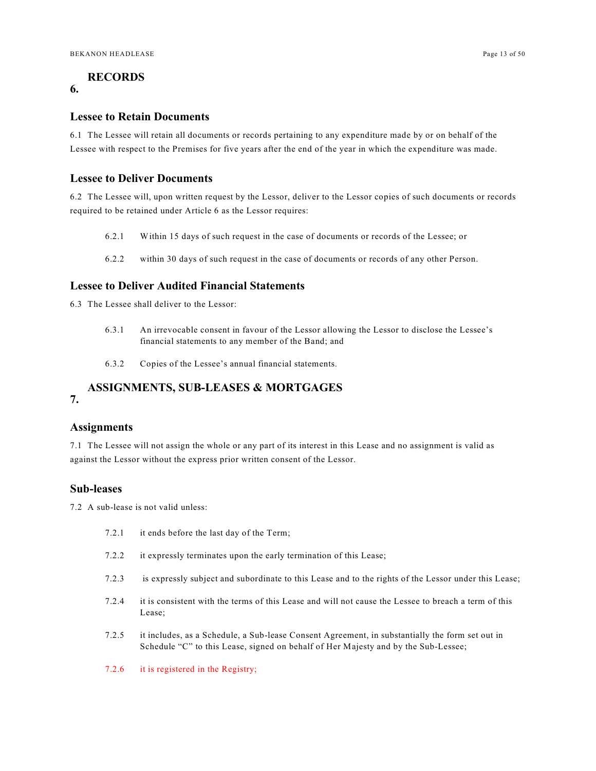### <span id="page-12-0"></span>**RECORDS**

### **6.**

#### <span id="page-12-1"></span>**Lessee to Retain Documents**

6.1 The Lessee will retain all documents or records pertaining to any expenditure made by or on behalf of the Lessee with respect to the Premises for five years after the end of the year in which the expenditure was made.

### <span id="page-12-2"></span>**Lessee to Deliver Documents**

6.2 The Lessee will, upon written request by the Lessor, deliver to the Lessor copies of such documents or records required to be retained under Article 6 as the Lessor requires:

- 6.2.1 Within 15 days of such request in the case of documents or records of the Lessee; or
- 6.2.2 within 30 days of such request in the case of documents or records of any other Person.

### <span id="page-12-3"></span>**Lessee to Deliver Audited Financial Statements**

6.3 The Lessee shall deliver to the Lessor:

- 6.3.1 An irrevocable consent in favour of the Lessor allowing the Lessor to disclose the Lessee's financial statements to any member of the Band; and
- 6.3.2 Copies of the Lessee's annual financial statements.

#### <span id="page-12-4"></span>**7. ASSIGNMENTS, SUB-LEASES & MORTGAGES**

### <span id="page-12-5"></span>**Assignments**

7.1 The Lessee will not assign the whole or any part of its interest in this Lease and no assignment is valid as against the Lessor without the express prior written consent of the Lessor.

### <span id="page-12-6"></span>**Sub-leases**

7.2 A sub-lease is not valid unless:

- 7.2.1 it ends before the last day of the Term;
- 7.2.2 it expressly terminates upon the early termination of this Lease;
- 7.2.3 is expressly subject and subordinate to this Lease and to the rights of the Lessor under this Lease;
- 7.2.4 it is consistent with the terms of this Lease and will not cause the Lessee to breach a term of this Lease;
- 7.2.5 it includes, as a Schedule, a Sub-lease Consent Agreement, in substantially the form set out in Schedule "C" to this Lease, signed on behalf of Her Majesty and by the Sub-Lessee;
- 7.2.6 it is registered in the Registry;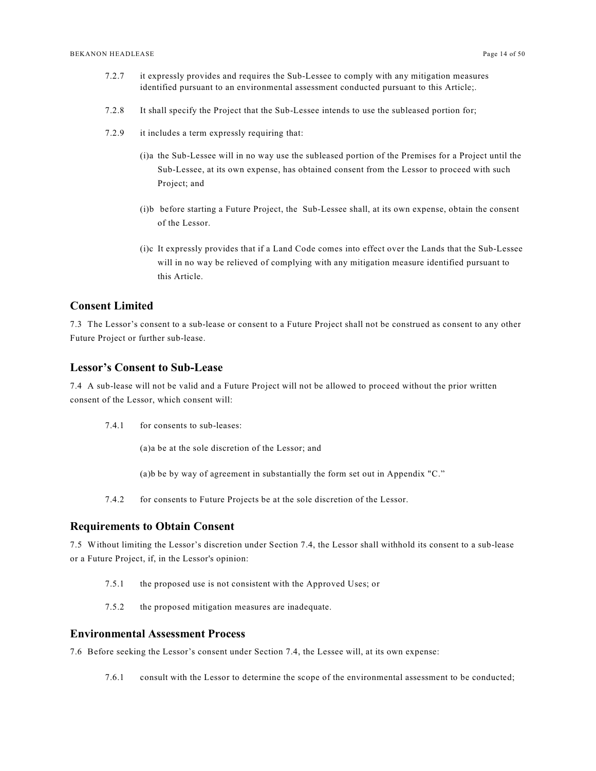- 7.2.7 it expressly provides and requires the Sub-Lessee to comply with any mitigation measures identified pursuant to an environmental assessment conducted pursuant to this Article;.
- 7.2.8 It shall specify the Project that the Sub-Lessee intends to use the subleased portion for;
- 7.2.9 it includes a term expressly requiring that:
	- (i)a the Sub-Lessee will in no way use the subleased portion of the Premises for a Project until the Sub-Lessee, at its own expense, has obtained consent from the Lessor to proceed with such Project; and
	- (i)b before starting a Future Project, the Sub-Lessee shall, at its own expense, obtain the consent of the Lessor.
	- (i)c It expressly provides that if a Land Code comes into effect over the Lands that the Sub-Lessee will in no way be relieved of complying with any mitigation measure identified pursuant to this Article.

### <span id="page-13-0"></span>**Consent Limited**

7.3 The Lessor's consent to a sub-lease or consent to a Future Project shall not be construed as consent to any other Future Project or further sub-lease.

#### <span id="page-13-1"></span>**Lessor's Consent to Sub-Lease**

7.4 A sub-lease will not be valid and a Future Project will not be allowed to proceed without the prior written consent of the Lessor, which consent will:

7.4.1 for consents to sub-leases:

(a)a be at the sole discretion of the Lessor; and

(a)b be by way of agreement in substantially the form set out in Appendix "C."

7.4.2 for consents to Future Projects be at the sole discretion of the Lessor.

#### <span id="page-13-2"></span>**Requirements to Obtain Consent**

7.5 Without limiting the Lessor's discretion under Section 7.4, the Lessor shall withhold its consent to a sub-lease or a Future Project, if, in the Lessor's opinion:

- 7.5.1 the proposed use is not consistent with the Approved Uses; or
- 7.5.2 the proposed mitigation measures are inadequate.

### <span id="page-13-3"></span>**Environmental Assessment Process**

7.6 Before seeking the Lessor's consent under Section 7.4, the Lessee will, at its own expense:

7.6.1 consult with the Lessor to determine the scope of the environmental assessment to be conducted;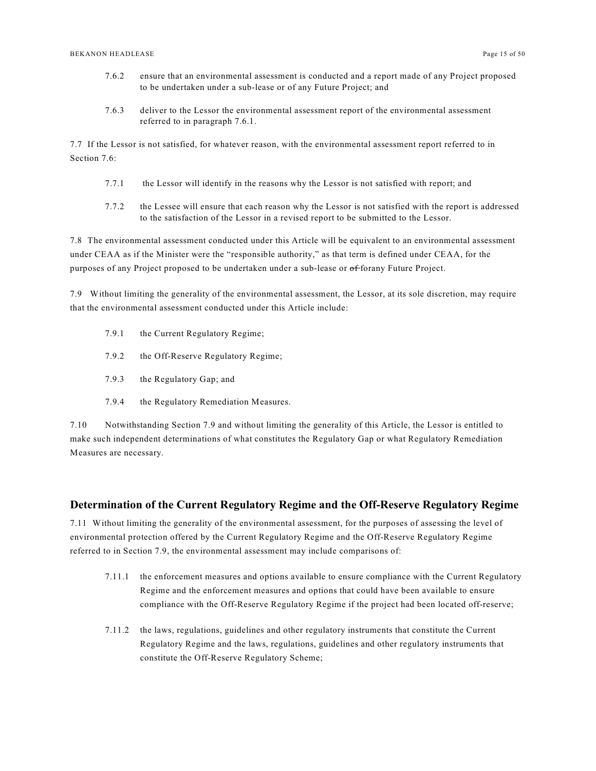- 7.6.2 ensure that an environmental assessment is conducted and a report made of any Project proposed to be undertaken under a sub-lease or of any Future Project; and
- 7.6.3 deliver to the Lessor the environmental assessment report of the environmental assessment referred to in paragraph 7.6.1.

7.7 If the Lessor is not satisfied, for whatever reason, with the environmental assessment report referred to in Section 7.6:

- 7.7.1 the Lessor will identify in the reasons why the Lessor is not satisfied with report; and
- 7.7.2 the Lessee will ensure that each reason why the Lessor is not satisfied with the report is addressed to the satisfaction of the Lessor in a revised report to be submitted to the Lessor.

7.8 The environmental assessment conducted under this Article will be equivalent to an environmental assessment under CEAA as if the Minister were the "responsible authority," as that term is defined under CEAA, for the purposes of any Project proposed to be undertaken under a sub-lease or of forany Future Project.

7.9 Without limiting the generality of the environmental assessment, the Lessor, at its sole discretion, may require that the environmental assessment conducted under this Article include:

- 7.9.1 the Current Regulatory Regime;
- 7.9.2 the Off-Reserve Regulatory Regime;
- 7.9.3 the Regulatory Gap; and
- 7.9.4 the Regulatory Remediation Measures.

7.10 Notwithstanding Section 7.9 and without limiting the generality of this Article, the Lessor is entitled to make such independent determinations of what constitutes the Regulatory Gap or what Regulatory Remediation Measures are necessary.

#### <span id="page-14-0"></span>**Determination of the Current Regulatory Regime and the Off-Reserve Regulatory Regime**

7.11 Without limiting the generality of the environmental assessment, for the purposes of assessing the level of environmental protection offered by the Current Regulatory Regime and the Off-Reserve Regulatory Regime referred to in Section 7.9, the environmental assessment may include comparisons of:

- 7.11.1 the enforcement measures and options available to ensure compliance with the Current Regulatory Regime and the enforcement measures and options that could have been available to ensure compliance with the Off-Reserve Regulatory Regime if the project had been located off-reserve;
- 7.11.2 the laws, regulations, guidelines and other regulatory instruments that constitute the Current Regulatory Regime and the laws, regulations, guidelines and other regulatory instruments that constitute the Off-Reserve Regulatory Scheme;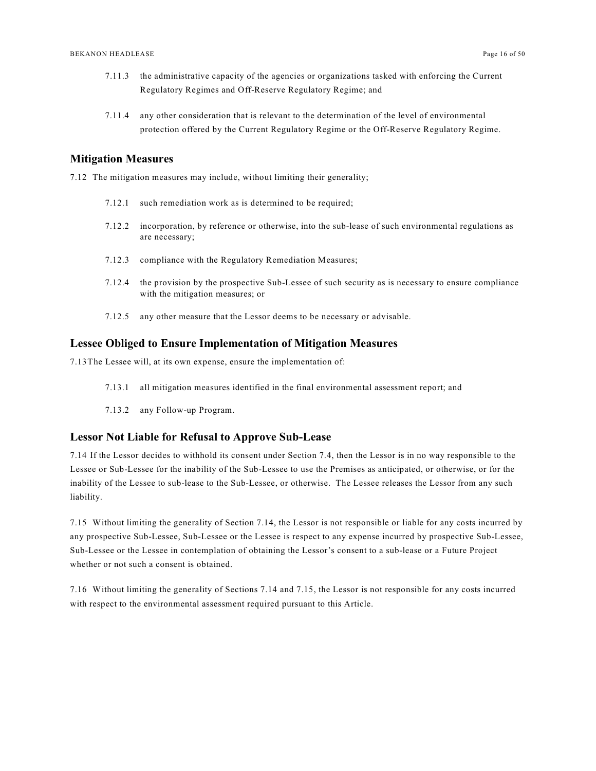- 7.11.3 the administrative capacity of the agencies or organizations tasked with enforcing the Current Regulatory Regimes and Off-Reserve Regulatory Regime; and
- 7.11.4 any other consideration that is relevant to the determination of the level of environmental protection offered by the Current Regulatory Regime or the Off-Reserve Regulatory Regime.

#### <span id="page-15-0"></span>**Mitigation Measures**

7.12 The mitigation measures may include, without limiting their generality;

- 7.12.1 such remediation work as is determined to be required;
- 7.12.2 incorporation, by reference or otherwise, into the sub-lease of such environmental regulations as are necessary;
- 7.12.3 compliance with the Regulatory Remediation Measures;
- 7.12.4 the provision by the prospective Sub-Lessee of such security as is necessary to ensure compliance with the mitigation measures; or
- 7.12.5 any other measure that the Lessor deems to be necessary or advisable.

#### <span id="page-15-1"></span>**Lessee Obliged to Ensure Implementation of Mitigation Measures**

7.13The Lessee will, at its own expense, ensure the implementation of:

- 7.13.1 all mitigation measures identified in the final environmental assessment report; and
- 7.13.2 any Follow-up Program.

#### <span id="page-15-2"></span>**Lessor Not Liable for Refusal to Approve Sub-Lease**

7.14 If the Lessor decides to withhold its consent under Section 7.4, then the Lessor is in no way responsible to the Lessee or Sub-Lessee for the inability of the Sub-Lessee to use the Premises as anticipated, or otherwise, or for the inability of the Lessee to sub-lease to the Sub-Lessee, or otherwise. The Lessee releases the Lessor from any such liability.

7.15 Without limiting the generality of Section 7.14, the Lessor is not responsible or liable for any costs incurred by any prospective Sub-Lessee, Sub-Lessee or the Lessee is respect to any expense incurred by prospective Sub-Lessee, Sub-Lessee or the Lessee in contemplation of obtaining the Lessor's consent to a sub-lease or a Future Project whether or not such a consent is obtained.

7.16 Without limiting the generality of Sections 7.14 and 7.15, the Lessor is not responsible for any costs incurred with respect to the environmental assessment required pursuant to this Article.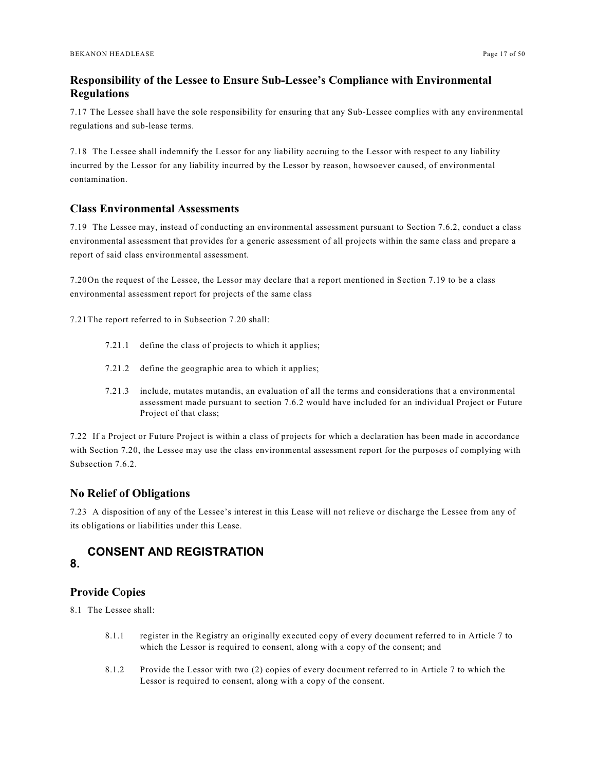### <span id="page-16-0"></span>**Responsibility of the Lessee to Ensure Sub-Lessee's Compliance with Environmental Regulations**

7.17 The Lessee shall have the sole responsibility for ensuring that any Sub-Lessee complies with any environmental regulations and sub-lease terms.

7.18 The Lessee shall indemnify the Lessor for any liability accruing to the Lessor with respect to any liability incurred by the Lessor for any liability incurred by the Lessor by reason, howsoever caused, of environmental contamination.

### <span id="page-16-1"></span>**Class Environmental Assessments**

7.19 The Lessee may, instead of conducting an environmental assessment pursuant to Section 7.6.2, conduct a class environmental assessment that provides for a generic assessment of all projects within the same class and prepare a report of said class environmental assessment.

7.20On the request of the Lessee, the Lessor may declare that a report mentioned in Section 7.19 to be a class environmental assessment report for projects of the same class

7.21The report referred to in Subsection 7.20 shall:

- 7.21.1 define the class of projects to which it applies;
- 7.21.2 define the geographic area to which it applies;
- 7.21.3 include, mutates mutandis, an evaluation of all the terms and considerations that a environmental assessment made pursuant to section 7.6.2 would have included for an individual Project or Future Project of that class;

7.22 If a Project or Future Project is within a class of projects for which a declaration has been made in accordance with Section 7.20, the Lessee may use the class environmental assessment report for the purposes of complying with Subsection 7.6.2.

### <span id="page-16-2"></span>**No Relief of Obligations**

7.23 A disposition of any of the Lessee's interest in this Lease will not relieve or discharge the Lessee from any of its obligations or liabilities under this Lease.

### <span id="page-16-3"></span>**8. CONSENT AND REGISTRATION**

### <span id="page-16-4"></span>**Provide Copies**

8.1 The Lessee shall:

- 8.1.1 register in the Registry an originally executed copy of every document referred to in Article 7 to which the Lessor is required to consent, along with a copy of the consent; and
- 8.1.2 Provide the Lessor with two (2) copies of every document referred to in Article 7 to which the Lessor is required to consent, along with a copy of the consent.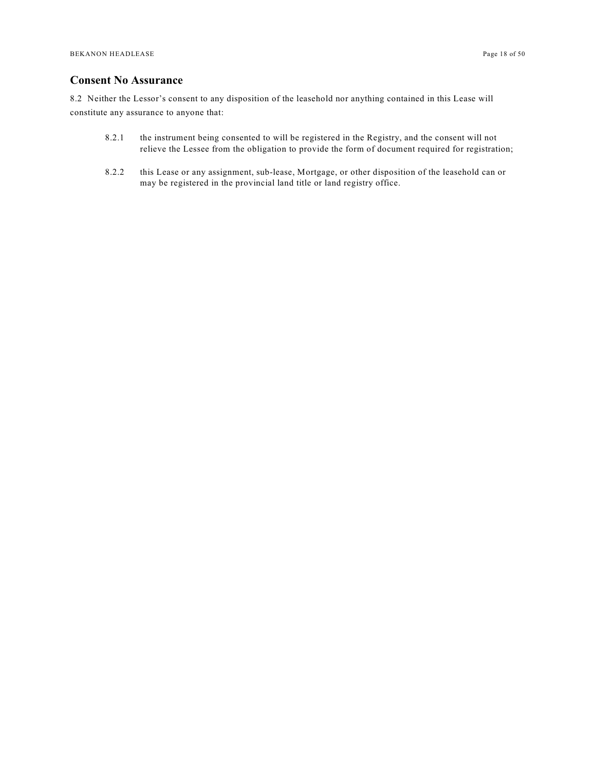### <span id="page-17-0"></span>**Consent No Assurance**

8.2 Neither the Lessor's consent to any disposition of the leasehold nor anything contained in this Lease will constitute any assurance to anyone that:

- 8.2.1 the instrument being consented to will be registered in the Registry, and the consent will not relieve the Lessee from the obligation to provide the form of document required for registration;
- 8.2.2 this Lease or any assignment, sub-lease, Mortgage, or other disposition of the leasehold can or may be registered in the provincial land title or land registry office.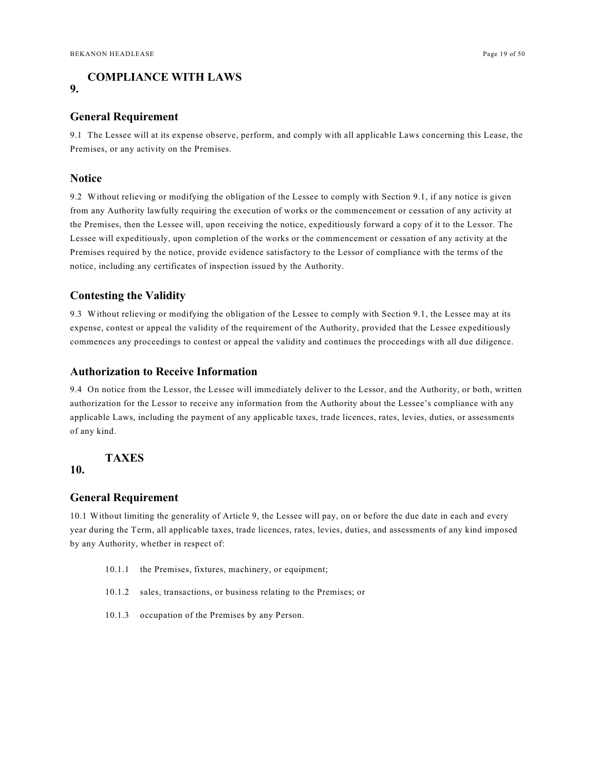# <span id="page-18-0"></span>**COMPLIANCE WITH LAWS**

#### <span id="page-18-1"></span>**General Requirement**

9.1 The Lessee will at its expense observe, perform, and comply with all applicable Laws concerning this Lease, the Premises, or any activity on the Premises.

### <span id="page-18-2"></span>**Notice**

**9.**

9.2 Without relieving or modifying the obligation of the Lessee to comply with Section 9.1, if any notice is given from any Authority lawfully requiring the execution of works or the commencement or cessation of any activity at the Premises, then the Lessee will, upon receiving the notice, expeditiously forward a copy of it to the Lessor. The Lessee will expeditiously, upon completion of the works or the commencement or cessation of any activity at the Premises required by the notice, provide evidence satisfactory to the Lessor of compliance with the terms of the notice, including any certificates of inspection issued by the Authority.

### <span id="page-18-3"></span>**Contesting the Validity**

9.3 Without relieving or modifying the obligation of the Lessee to comply with Section 9.1, the Lessee may at its expense, contest or appeal the validity of the requirement of the Authority, provided that the Lessee expeditiously commences any proceedings to contest or appeal the validity and continues the proceedings with all due diligence.

### <span id="page-18-4"></span>**Authorization to Receive Information**

9.4 On notice from the Lessor, the Lessee will immediately deliver to the Lessor, and the Authority, or both, written authorization for the Lessor to receive any information from the Authority about the Lessee's compliance with any applicable Laws, including the payment of any applicable taxes, trade licences, rates, levies, duties, or assessments of any kind.

### <span id="page-18-5"></span>**TAXES**

### **10.**

#### <span id="page-18-6"></span>**General Requirement**

10.1 Without limiting the generality of Article 9, the Lessee will pay, on or before the due date in each and every year during the Term, all applicable taxes, trade licences, rates, levies, duties, and assessments of any kind imposed by any Authority, whether in respect of:

- 10.1.1 the Premises, fixtures, machinery, or equipment;
- 10.1.2 sales, transactions, or business relating to the Premises; or
- 10.1.3 occupation of the Premises by any Person.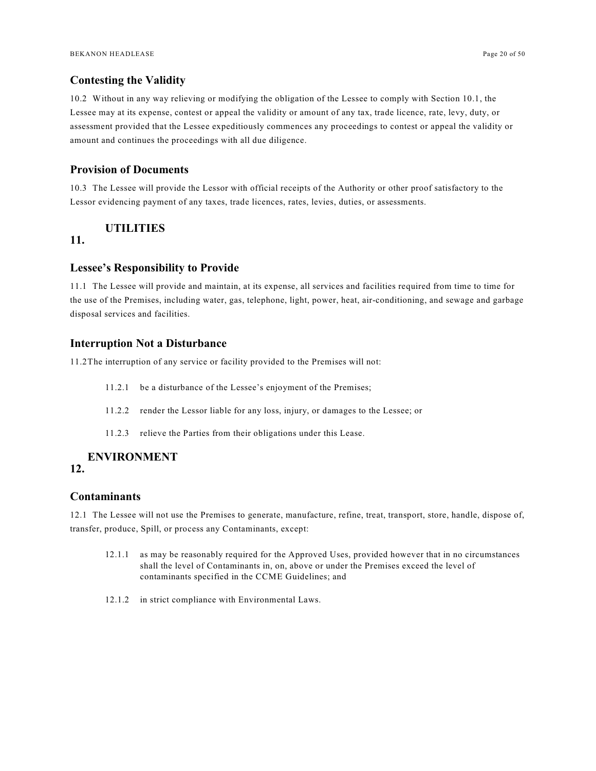### <span id="page-19-0"></span>**Contesting the Validity**

10.2 Without in any way relieving or modifying the obligation of the Lessee to comply with Section 10.1, the Lessee may at its expense, contest or appeal the validity or amount of any tax, trade licence, rate, levy, duty, or assessment provided that the Lessee expeditiously commences any proceedings to contest or appeal the validity or amount and continues the proceedings with all due diligence.

### <span id="page-19-1"></span>**Provision of Documents**

10.3 The Lessee will provide the Lessor with official receipts of the Authority or other proof satisfactory to the Lessor evidencing payment of any taxes, trade licences, rates, levies, duties, or assessments.

### <span id="page-19-2"></span>**UTILITIES**

### **11.**

### <span id="page-19-3"></span>**Lessee's Responsibility to Provide**

11.1 The Lessee will provide and maintain, at its expense, all services and facilities required from time to time for the use of the Premises, including water, gas, telephone, light, power, heat, air-conditioning, and sewage and garbage disposal services and facilities.

#### <span id="page-19-4"></span>**Interruption Not a Disturbance**

11.2The interruption of any service or facility provided to the Premises will not:

- 11.2.1 be a disturbance of the Lessee's enjoyment of the Premises;
- 11.2.2 render the Lessor liable for any loss, injury, or damages to the Lessee; or
- 11.2.3 relieve the Parties from their obligations under this Lease.

# <span id="page-19-5"></span>**ENVIRONMENT**

### **12.**

### <span id="page-19-6"></span>**Contaminants**

12.1 The Lessee will not use the Premises to generate, manufacture, refine, treat, transport, store, handle, dispose of, transfer, produce, Spill, or process any Contaminants, except:

- 12.1.1 as may be reasonably required for the Approved Uses, provided however that in no circumstances shall the level of Contaminants in, on, above or under the Premises exceed the level of contaminants specified in the CCME Guidelines; and
- 12.1.2 in strict compliance with Environmental Laws.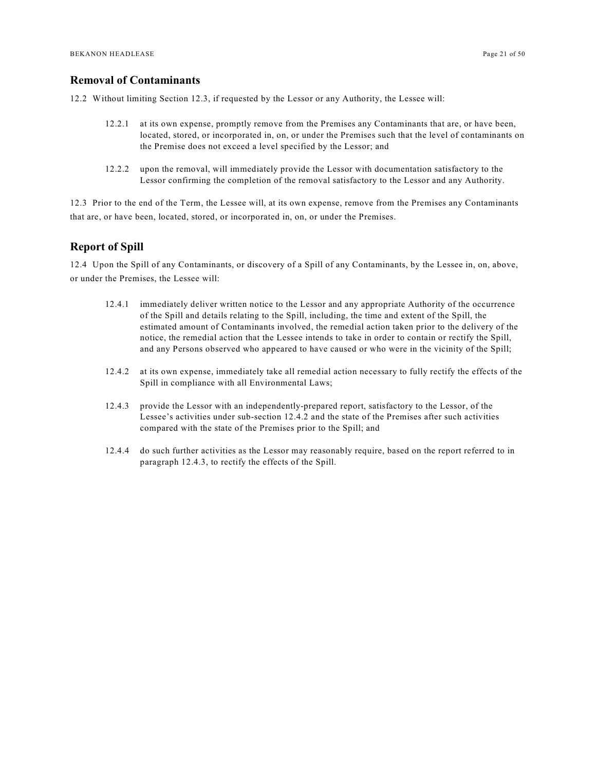#### <span id="page-20-0"></span>**Removal of Contaminants**

12.2 Without limiting Section 12.3, if requested by the Lessor or any Authority, the Lessee will:

- 12.2.1 at its own expense, promptly remove from the Premises any Contaminants that are, or have been, located, stored, or incorporated in, on, or under the Premises such that the level of contaminants on the Premise does not exceed a level specified by the Lessor; and
- 12.2.2 upon the removal, will immediately provide the Lessor with documentation satisfactory to the Lessor confirming the completion of the removal satisfactory to the Lessor and any Authority.

12.3 Prior to the end of the Term, the Lessee will, at its own expense, remove from the Premises any Contaminants that are, or have been, located, stored, or incorporated in, on, or under the Premises.

### <span id="page-20-1"></span>**Report of Spill**

12.4 Upon the Spill of any Contaminants, or discovery of a Spill of any Contaminants, by the Lessee in, on, above, or under the Premises, the Lessee will:

- 12.4.1 immediately deliver written notice to the Lessor and any appropriate Authority of the occurrence of the Spill and details relating to the Spill, including, the time and extent of the Spill, the estimated amount of Contaminants involved, the remedial action taken prior to the delivery of the notice, the remedial action that the Lessee intends to take in order to contain or rectify the Spill, and any Persons observed who appeared to have caused or who were in the vicinity of the Spill;
- 12.4.2 at its own expense, immediately take all remedial action necessary to fully rectify the effects of the Spill in compliance with all Environmental Laws;
- 12.4.3 provide the Lessor with an independently-prepared report, satisfactory to the Lessor, of the Lessee's activities under sub-section 12.4.2 and the state of the Premises after such activities compared with the state of the Premises prior to the Spill; and
- 12.4.4 do such further activities as the Lessor may reasonably require, based on the report referred to in paragraph 12.4.3, to rectify the effects of the Spill.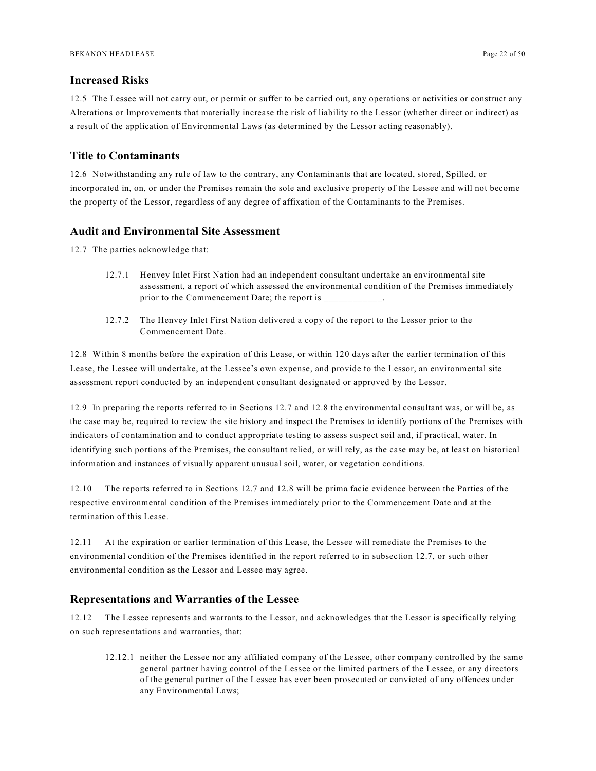### <span id="page-21-0"></span>**Increased Risks**

12.5 The Lessee will not carry out, or permit or suffer to be carried out, any operations or activities or construct any Alterations or Improvements that materially increase the risk of liability to the Lessor (whether direct or indirect) as a result of the application of Environmental Laws (as determined by the Lessor acting reasonably).

### <span id="page-21-1"></span>**Title to Contaminants**

12.6 Notwithstanding any rule of law to the contrary, any Contaminants that are located, stored, Spilled, or incorporated in, on, or under the Premises remain the sole and exclusive property of the Lessee and will not become the property of the Lessor, regardless of any degree of affixation of the Contaminants to the Premises.

#### <span id="page-21-2"></span>**Audit and Environmental Site Assessment**

12.7 The parties acknowledge that:

- 12.7.1 Henvey Inlet First Nation had an independent consultant undertake an environmental site assessment, a report of which assessed the environmental condition of the Premises immediately prior to the Commencement Date; the report is
- 12.7.2 The Henvey Inlet First Nation delivered a copy of the report to the Lessor prior to the Commencement Date.

12.8 Within 8 months before the expiration of this Lease, or within 120 days after the earlier termination of this Lease, the Lessee will undertake, at the Lessee's own expense, and provide to the Lessor, an environmental site assessment report conducted by an independent consultant designated or approved by the Lessor.

12.9 In preparing the reports referred to in Sections 12.7 and 12.8 the environmental consultant was, or will be, as the case may be, required to review the site history and inspect the Premises to identify portions of the Premises with indicators of contamination and to conduct appropriate testing to assess suspect soil and, if practical, water. In identifying such portions of the Premises, the consultant relied, or will rely, as the case may be, at least on historical information and instances of visually apparent unusual soil, water, or vegetation conditions.

12.10 The reports referred to in Sections 12.7 and 12.8 will be prima facie evidence between the Parties of the respective environmental condition of the Premises immediately prior to the Commencement Date and at the termination of this Lease.

12.11 At the expiration or earlier termination of this Lease, the Lessee will remediate the Premises to the environmental condition of the Premises identified in the report referred to in subsection 12.7, or such other environmental condition as the Lessor and Lessee may agree.

### <span id="page-21-3"></span>**Representations and Warranties of the Lessee**

12.12 The Lessee represents and warrants to the Lessor, and acknowledges that the Lessor is specifically relying on such representations and warranties, that:

12.12.1 neither the Lessee nor any affiliated company of the Lessee, other company controlled by the same general partner having control of the Lessee or the limited partners of the Lessee, or any directors of the general partner of the Lessee has ever been prosecuted or convicted of any offences under any Environmental Laws;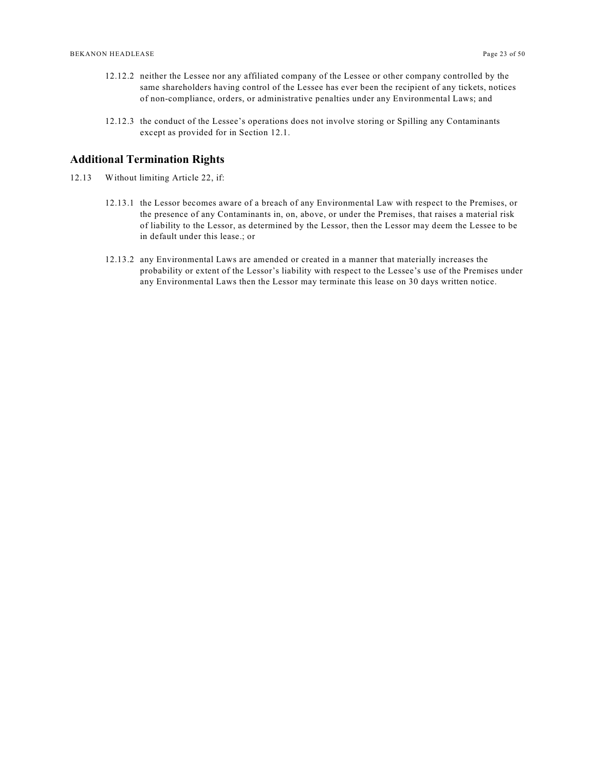- 12.12.2 neither the Lessee nor any affiliated company of the Lessee or other company controlled by the same shareholders having control of the Lessee has ever been the recipient of any tickets, notices of non-compliance, orders, or administrative penalties under any Environmental Laws; and
- 12.12.3 the conduct of the Lessee's operations does not involve storing or Spilling any Contaminants except as provided for in Section 12.1.

#### <span id="page-22-0"></span>**Additional Termination Rights**

- 12.13 Without limiting Article 22, if:
	- 12.13.1 the Lessor becomes aware of a breach of any Environmental Law with respect to the Premises, or the presence of any Contaminants in, on, above, or under the Premises, that raises a material risk of liability to the Lessor, as determined by the Lessor, then the Lessor may deem the Lessee to be in default under this lease.; or
	- 12.13.2 any Environmental Laws are amended or created in a manner that materially increases the probability or extent of the Lessor's liability with respect to the Lessee's use of the Premises under any Environmental Laws then the Lessor may terminate this lease on 30 days written notice.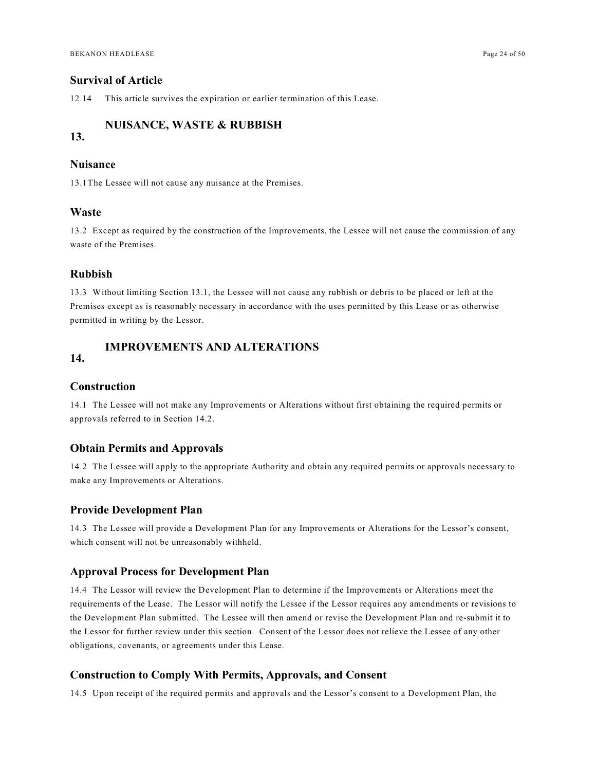### <span id="page-23-0"></span>**Survival of Article**

12.14 This article survives the expiration or earlier termination of this Lease.

### <span id="page-23-1"></span>**NUISANCE, WASTE & RUBBISH**

### **13.**

#### <span id="page-23-2"></span>**Nuisance**

13.1The Lessee will not cause any nuisance at the Premises.

#### <span id="page-23-3"></span>**Waste**

13.2 Except as required by the construction of the Improvements, the Lessee will not cause the commission of any waste of the Premises.

#### <span id="page-23-4"></span>**Rubbish**

13.3 Without limiting Section 13.1, the Lessee will not cause any rubbish or debris to be placed or left at the Premises except as is reasonably necessary in accordance with the uses permitted by this Lease or as otherwise permitted in writing by the Lessor.

### <span id="page-23-5"></span>**IMPROVEMENTS AND ALTERATIONS**

### **14.**

#### <span id="page-23-6"></span>**Construction**

14.1 The Lessee will not make any Improvements or Alterations without first obtaining the required permits or approvals referred to in Section 14.2.

#### <span id="page-23-7"></span>**Obtain Permits and Approvals**

14.2 The Lessee will apply to the appropriate Authority and obtain any required permits or approvals necessary to make any Improvements or Alterations.

#### <span id="page-23-8"></span>**Provide Development Plan**

14.3 The Lessee will provide a Development Plan for any Improvements or Alterations for the Lessor's consent, which consent will not be unreasonably withheld.

#### <span id="page-23-9"></span>**Approval Process for Development Plan**

14.4 The Lessor will review the Development Plan to determine if the Improvements or Alterations meet the requirements of the Lease. The Lessor will notify the Lessee if the Lessor requires any amendments or revisions to the Development Plan submitted. The Lessee will then amend or revise the Development Plan and re-submit it to the Lessor for further review under this section. Consent of the Lessor does not relieve the Lessee of any other obligations, covenants, or agreements under this Lease.

#### <span id="page-23-10"></span>**Construction to Comply With Permits, Approvals, and Consent**

14.5 Upon receipt of the required permits and approvals and the Lessor's consent to a Development Plan, the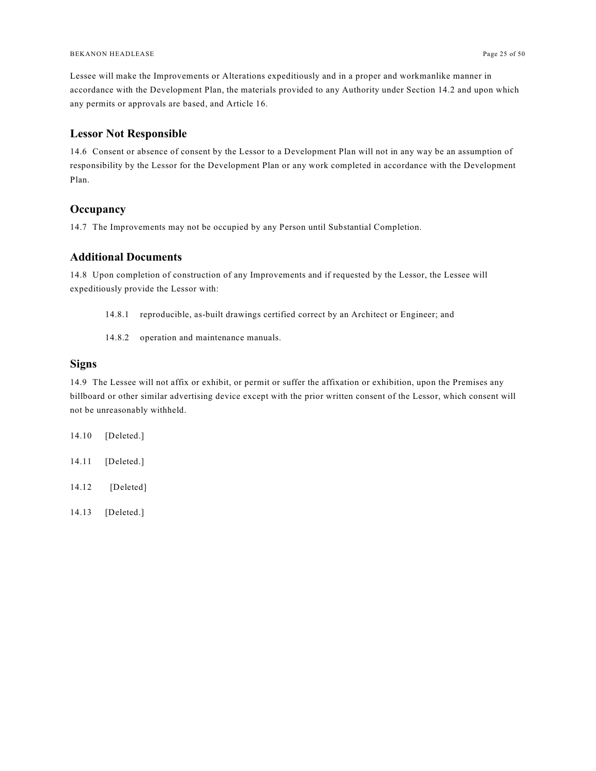Lessee will make the Improvements or Alterations expeditiously and in a proper and workmanlike manner in accordance with the Development Plan, the materials provided to any Authority under Section 14.2 and upon which any permits or approvals are based, and Article 16.

### <span id="page-24-0"></span>**Lessor Not Responsible**

14.6 Consent or absence of consent by the Lessor to a Development Plan will not in any way be an assumption of responsibility by the Lessor for the Development Plan or any work completed in accordance with the Development Plan.

### <span id="page-24-1"></span>**Occupancy**

14.7 The Improvements may not be occupied by any Person until Substantial Completion.

### <span id="page-24-2"></span>**Additional Documents**

14.8 Upon completion of construction of any Improvements and if requested by the Lessor, the Lessee will expeditiously provide the Lessor with:

- 14.8.1 reproducible, as-built drawings certified correct by an Architect or Engineer; and
- 14.8.2 operation and maintenance manuals.

### <span id="page-24-3"></span>**Signs**

14.9 The Lessee will not affix or exhibit, or permit or suffer the affixation or exhibition, upon the Premises any billboard or other similar advertising device except with the prior written consent of the Lessor, which consent will not be unreasonably withheld.

- 14.10 [Deleted.]
- 14.11 [Deleted.]
- 14.12 [Deleted]
- 14.13 [Deleted.]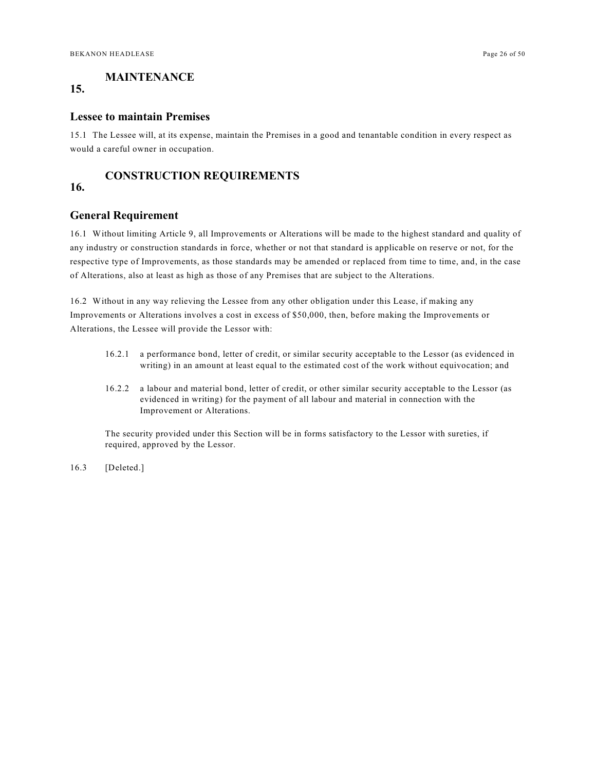### <span id="page-25-0"></span>**MAINTENANCE**

### **15.**

#### <span id="page-25-1"></span>**Lessee to maintain Premises**

15.1 The Lessee will, at its expense, maintain the Premises in a good and tenantable condition in every respect as would a careful owner in occupation.

### <span id="page-25-2"></span>**CONSTRUCTION REQUIREMENTS**

### **16.**

### <span id="page-25-3"></span>**General Requirement**

16.1 Without limiting Article 9, all Improvements or Alterations will be made to the highest standard and quality of any industry or construction standards in force, whether or not that standard is applicable on reserve or not, for the respective type of Improvements, as those standards may be amended or replaced from time to time, and, in the case of Alterations, also at least as high as those of any Premises that are subject to the Alterations.

16.2 Without in any way relieving the Lessee from any other obligation under this Lease, if making any Improvements or Alterations involves a cost in excess of \$50,000, then, before making the Improvements or Alterations, the Lessee will provide the Lessor with:

- 16.2.1 a performance bond, letter of credit, or similar security acceptable to the Lessor (as evidenced in writing) in an amount at least equal to the estimated cost of the work without equivocation; and
- 16.2.2 a labour and material bond, letter of credit, or other similar security acceptable to the Lessor (as evidenced in writing) for the payment of all labour and material in connection with the Improvement or Alterations.

The security provided under this Section will be in forms satisfactory to the Lessor with sureties, if required, approved by the Lessor.

16.3 [Deleted.]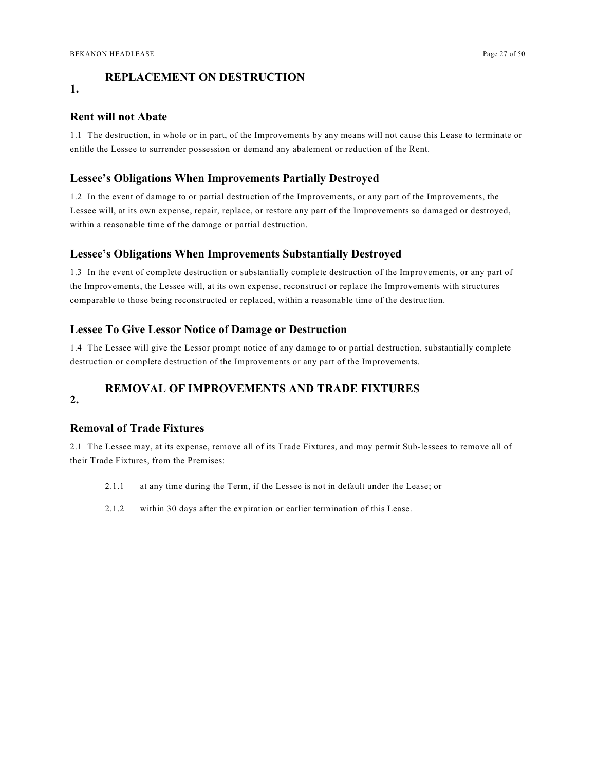### <span id="page-26-0"></span>**REPLACEMENT ON DESTRUCTION**

### **1.**

### <span id="page-26-1"></span>**Rent will not Abate**

1.1 The destruction, in whole or in part, of the Improvements by any means will not cause this Lease to terminate or entitle the Lessee to surrender possession or demand any abatement or reduction of the Rent.

### <span id="page-26-2"></span>**Lessee's Obligations When Improvements Partially Destroyed**

1.2 In the event of damage to or partial destruction of the Improvements, or any part of the Improvements, the Lessee will, at its own expense, repair, replace, or restore any part of the Improvements so damaged or destroyed, within a reasonable time of the damage or partial destruction.

#### <span id="page-26-3"></span>**Lessee's Obligations When Improvements Substantially Destroyed**

1.3 In the event of complete destruction or substantially complete destruction of the Improvements, or any part of the Improvements, the Lessee will, at its own expense, reconstruct or replace the Improvements with structures comparable to those being reconstructed or replaced, within a reasonable time of the destruction.

#### <span id="page-26-4"></span>**Lessee To Give Lessor Notice of Damage or Destruction**

1.4 The Lessee will give the Lessor prompt notice of any damage to or partial destruction, substantially complete destruction or complete destruction of the Improvements or any part of the Improvements.

### <span id="page-26-5"></span>**REMOVAL OF IMPROVEMENTS AND TRADE FIXTURES**

### **2.**

### <span id="page-26-6"></span>**Removal of Trade Fixtures**

2.1 The Lessee may, at its expense, remove all of its Trade Fixtures, and may permit Sub-lessees to remove all of their Trade Fixtures, from the Premises:

- 2.1.1 at any time during the Term, if the Lessee is not in default under the Lease; or
- 2.1.2 within 30 days after the expiration or earlier termination of this Lease.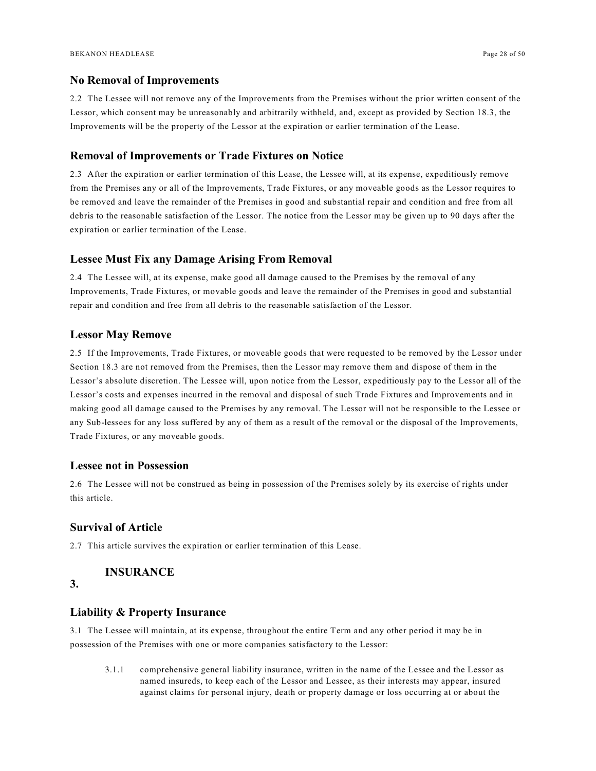#### <span id="page-27-0"></span>**No Removal of Improvements**

2.2 The Lessee will not remove any of the Improvements from the Premises without the prior written consent of the Lessor, which consent may be unreasonably and arbitrarily withheld, and, except as provided by Section 18.3, the Improvements will be the property of the Lessor at the expiration or earlier termination of the Lease.

### <span id="page-27-1"></span>**Removal of Improvements or Trade Fixtures on Notice**

2.3 After the expiration or earlier termination of this Lease, the Lessee will, at its expense, expeditiously remove from the Premises any or all of the Improvements, Trade Fixtures, or any moveable goods as the Lessor requires to be removed and leave the remainder of the Premises in good and substantial repair and condition and free from all debris to the reasonable satisfaction of the Lessor. The notice from the Lessor may be given up to 90 days after the expiration or earlier termination of the Lease.

#### <span id="page-27-2"></span>**Lessee Must Fix any Damage Arising From Removal**

2.4 The Lessee will, at its expense, make good all damage caused to the Premises by the removal of any Improvements, Trade Fixtures, or movable goods and leave the remainder of the Premises in good and substantial repair and condition and free from all debris to the reasonable satisfaction of the Lessor.

#### <span id="page-27-3"></span>**Lessor May Remove**

2.5 If the Improvements, Trade Fixtures, or moveable goods that were requested to be removed by the Lessor under Section 18.3 are not removed from the Premises, then the Lessor may remove them and dispose of them in the Lessor's absolute discretion. The Lessee will, upon notice from the Lessor, expeditiously pay to the Lessor all of the Lessor's costs and expenses incurred in the removal and disposal of such Trade Fixtures and Improvements and in making good all damage caused to the Premises by any removal. The Lessor will not be responsible to the Lessee or any Sub-lessees for any loss suffered by any of them as a result of the removal or the disposal of the Improvements, Trade Fixtures, or any moveable goods.

### <span id="page-27-4"></span>**Lessee not in Possession**

2.6 The Lessee will not be construed as being in possession of the Premises solely by its exercise of rights under this article.

### <span id="page-27-5"></span>**Survival of Article**

2.7 This article survives the expiration or earlier termination of this Lease.

### <span id="page-27-6"></span>**INSURANCE**

### **3.**

#### <span id="page-27-7"></span>**Liability & Property Insurance**

3.1 The Lessee will maintain, at its expense, throughout the entire Term and any other period it may be in possession of the Premises with one or more companies satisfactory to the Lessor:

3.1.1 comprehensive general liability insurance, written in the name of the Lessee and the Lessor as named insureds, to keep each of the Lessor and Lessee, as their interests may appear, insured against claims for personal injury, death or property damage or loss occurring at or about the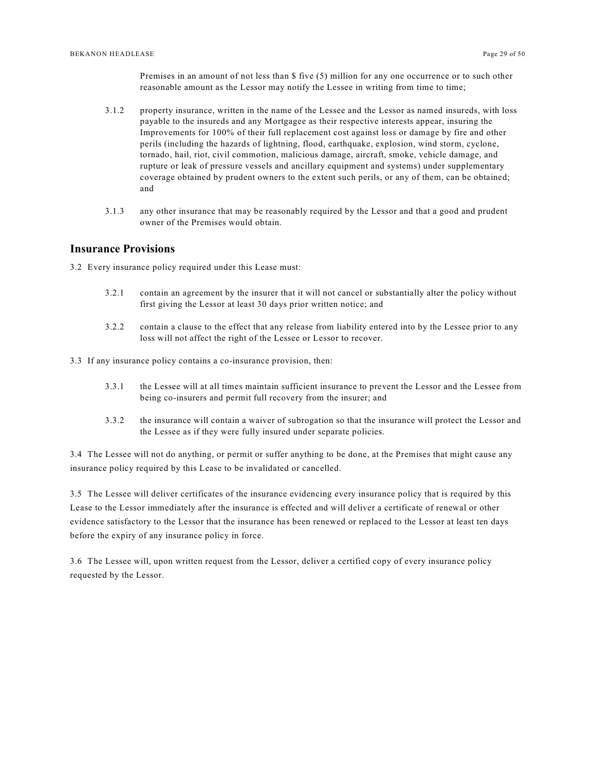Premises in an amount of not less than \$ five (5) million for any one occurrence or to such other reasonable amount as the Lessor may notify the Lessee in writing from time to time;

- 3.1.2 property insurance, written in the name of the Lessee and the Lessor as named insureds, with loss payable to the insureds and any Mortgagee as their respective interests appear, insuring the Improvements for 100% of their full replacement cost against loss or damage by fire and other perils (including the hazards of lightning, flood, earthquake, explosion, wind storm, cyclone, tornado, hail, riot, civil commotion, malicious damage, aircraft, smoke, vehicle damage, and rupture or leak of pressure vessels and ancillary equipment and systems) under supplementary coverage obtained by prudent owners to the extent such perils, or any of them, can be obtained; and
- 3.1.3 any other insurance that may be reasonably required by the Lessor and that a good and prudent owner of the Premises would obtain.

### <span id="page-28-0"></span>**Insurance Provisions**

3.2 Every insurance policy required under this Lease must:

- 3.2.1 contain an agreement by the insurer that it will not cancel or substantially alter the policy without first giving the Lessor at least 30 days prior written notice; and
- 3.2.2 contain a clause to the effect that any release from liability entered into by the Lessee prior to any loss will not affect the right of the Lessee or Lessor to recover.

3.3 If any insurance policy contains a co-insurance provision, then:

- 3.3.1 the Lessee will at all times maintain sufficient insurance to prevent the Lessor and the Lessee from being co-insurers and permit full recovery from the insurer; and
- 3.3.2 the insurance will contain a waiver of subrogation so that the insurance will protect the Lessor and the Lessee as if they were fully insured under separate policies.

3.4 The Lessee will not do anything, or permit or suffer anything to be done, at the Premises that might cause any insurance policy required by this Lease to be invalidated or cancelled.

3.5 The Lessee will deliver certificates of the insurance evidencing every insurance policy that is required by this Lease to the Lessor immediately after the insurance is effected and will deliver a certificate of renewal or other evidence satisfactory to the Lessor that the insurance has been renewed or replaced to the Lessor at least ten days before the expiry of any insurance policy in force.

3.6 The Lessee will, upon written request from the Lessor, deliver a certified copy of every insurance policy requested by the Lessor.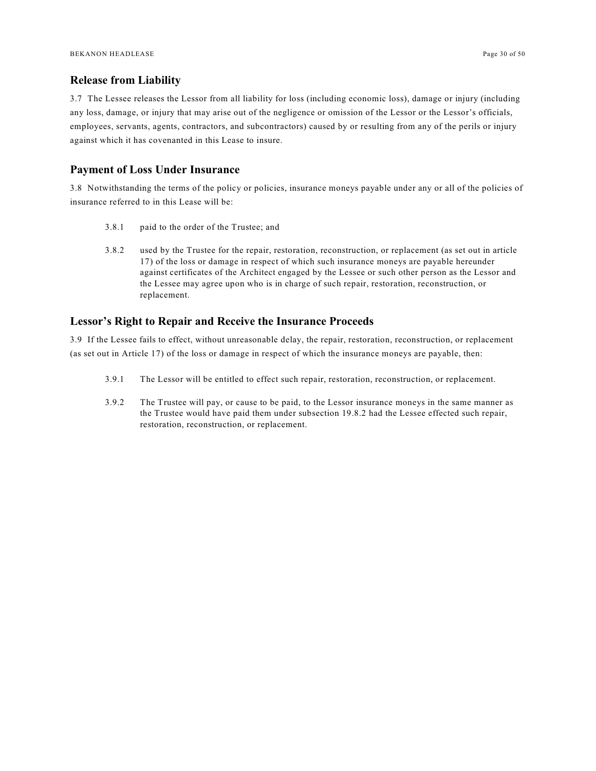### <span id="page-29-0"></span>**Release from Liability**

3.7 The Lessee releases the Lessor from all liability for loss (including economic loss), damage or injury (including any loss, damage, or injury that may arise out of the negligence or omission of the Lessor or the Lessor's officials, employees, servants, agents, contractors, and subcontractors) caused by or resulting from any of the perils or injury against which it has covenanted in this Lease to insure.

#### <span id="page-29-1"></span>**Payment of Loss Under Insurance**

3.8 Notwithstanding the terms of the policy or policies, insurance moneys payable under any or all of the policies of insurance referred to in this Lease will be:

- 3.8.1 paid to the order of the Trustee; and
- 3.8.2 used by the Trustee for the repair, restoration, reconstruction, or replacement (as set out in article 17) of the loss or damage in respect of which such insurance moneys are payable hereunder against certificates of the Architect engaged by the Lessee or such other person as the Lessor and the Lessee may agree upon who is in charge of such repair, restoration, reconstruction, or replacement.

### <span id="page-29-2"></span>**Lessor's Right to Repair and Receive the Insurance Proceeds**

3.9 If the Lessee fails to effect, without unreasonable delay, the repair, restoration, reconstruction, or replacement (as set out in Article 17) of the loss or damage in respect of which the insurance moneys are payable, then:

- 3.9.1 The Lessor will be entitled to effect such repair, restoration, reconstruction, or replacement.
- 3.9.2 The Trustee will pay, or cause to be paid, to the Lessor insurance moneys in the same manner as the Trustee would have paid them under subsection 19.8.2 had the Lessee effected such repair, restoration, reconstruction, or replacement.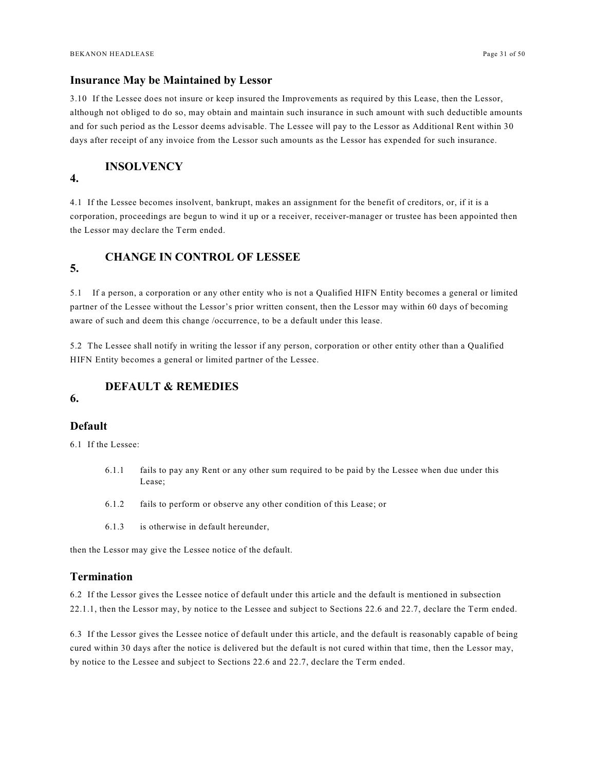### <span id="page-30-0"></span>**Insurance May be Maintained by Lessor**

3.10 If the Lessee does not insure or keep insured the Improvements as required by this Lease, then the Lessor, although not obliged to do so, may obtain and maintain such insurance in such amount with such deductible amounts and for such period as the Lessor deems advisable. The Lessee will pay to the Lessor as Additional Rent within 30 days after receipt of any invoice from the Lessor such amounts as the Lessor has expended for such insurance.

### <span id="page-30-1"></span>**INSOLVENCY**

### **4.**

4.1 If the Lessee becomes insolvent, bankrupt, makes an assignment for the benefit of creditors, or, if it is a corporation, proceedings are begun to wind it up or a receiver, receiver-manager or trustee has been appointed then the Lessor may declare the Term ended.

### <span id="page-30-2"></span>**CHANGE IN CONTROL OF LESSEE**

### **5.**

5.1 If a person, a corporation or any other entity who is not a Qualified HIFN Entity becomes a general or limited partner of the Lessee without the Lessor's prior written consent, then the Lessor may within 60 days of becoming aware of such and deem this change /occurrence, to be a default under this lease.

5.2 The Lessee shall notify in writing the lessor if any person, corporation or other entity other than a Qualified HIFN Entity becomes a general or limited partner of the Lessee.

### <span id="page-30-3"></span>**DEFAULT & REMEDIES**

### **6.**

### <span id="page-30-4"></span>**Default**

6.1 If the Lessee:

- 6.1.1 fails to pay any Rent or any other sum required to be paid by the Lessee when due under this Lease;
- 6.1.2 fails to perform or observe any other condition of this Lease; or
- 6.1.3 is otherwise in default hereunder,

then the Lessor may give the Lessee notice of the default.

### <span id="page-30-5"></span>**Termination**

6.2 If the Lessor gives the Lessee notice of default under this article and the default is mentioned in subsection 22.1.1, then the Lessor may, by notice to the Lessee and subject to Sections 22.6 and 22.7, declare the Term ended.

6.3 If the Lessor gives the Lessee notice of default under this article, and the default is reasonably capable of being cured within 30 days after the notice is delivered but the default is not cured within that time, then the Lessor may, by notice to the Lessee and subject to Sections 22.6 and 22.7, declare the Term ended.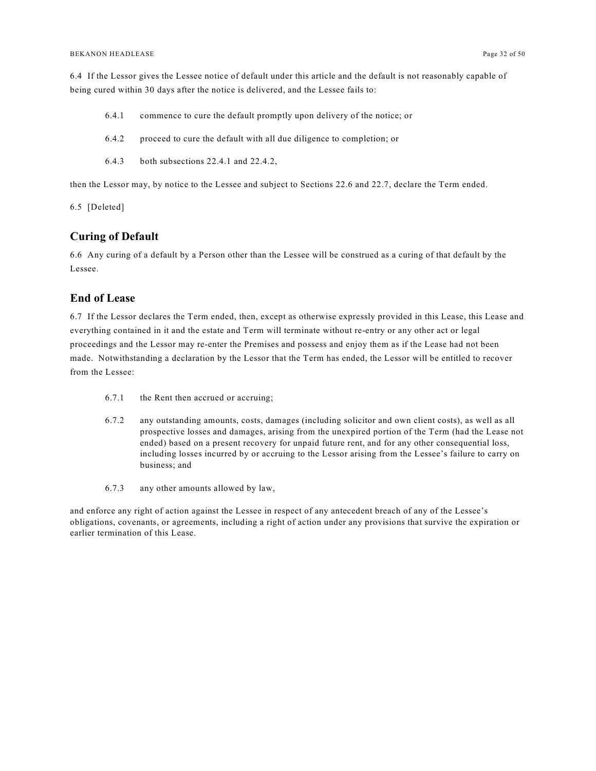6.4 If the Lessor gives the Lessee notice of default under this article and the default is not reasonably capable of being cured within 30 days after the notice is delivered, and the Lessee fails to:

- 6.4.1 commence to cure the default promptly upon delivery of the notice; or
- 6.4.2 proceed to cure the default with all due diligence to completion; or
- 6.4.3 both subsections 22.4.1 and 22.4.2,

then the Lessor may, by notice to the Lessee and subject to Sections 22.6 and 22.7, declare the Term ended.

6.5 [Deleted]

### <span id="page-31-0"></span>**Curing of Default**

6.6 Any curing of a default by a Person other than the Lessee will be construed as a curing of that default by the Lessee.

### <span id="page-31-1"></span>**End of Lease**

6.7 If the Lessor declares the Term ended, then, except as otherwise expressly provided in this Lease, this Lease and everything contained in it and the estate and Term will terminate without re-entry or any other act or legal proceedings and the Lessor may re-enter the Premises and possess and enjoy them as if the Lease had not been made. Notwithstanding a declaration by the Lessor that the Term has ended, the Lessor will be entitled to recover from the Lessee:

- 6.7.1 the Rent then accrued or accruing;
- 6.7.2 any outstanding amounts, costs, damages (including solicitor and own client costs), as well as all prospective losses and damages, arising from the unexpired portion of the Term (had the Lease not ended) based on a present recovery for unpaid future rent, and for any other consequential loss, including losses incurred by or accruing to the Lessor arising from the Lessee's failure to carry on business; and
- 6.7.3 any other amounts allowed by law,

and enforce any right of action against the Lessee in respect of any antecedent breach of any of the Lessee's obligations, covenants, or agreements, including a right of action under any provisions that survive the expiration or earlier termination of this Lease.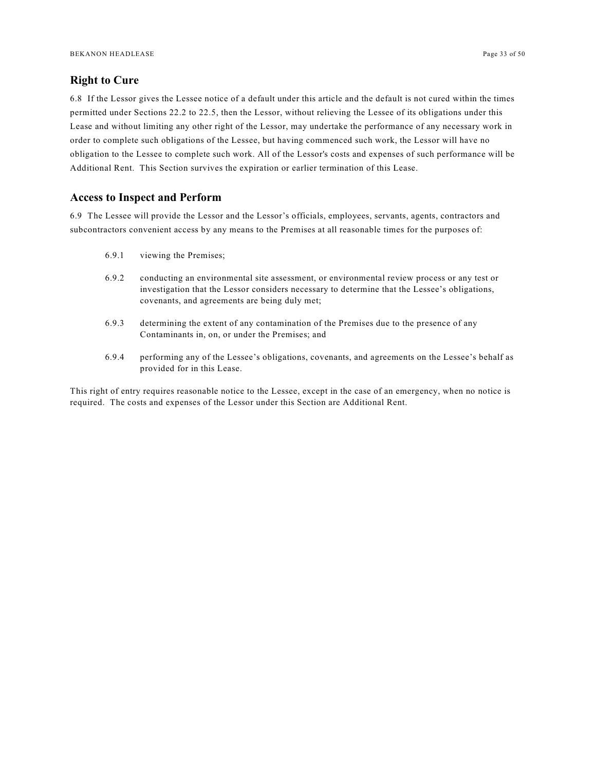### <span id="page-32-0"></span>**Right to Cure**

6.8 If the Lessor gives the Lessee notice of a default under this article and the default is not cured within the times permitted under Sections 22.2 to 22.5, then the Lessor, without relieving the Lessee of its obligations under this Lease and without limiting any other right of the Lessor, may undertake the performance of any necessary work in order to complete such obligations of the Lessee, but having commenced such work, the Lessor will have no obligation to the Lessee to complete such work. All of the Lessor's costs and expenses of such performance will be Additional Rent. This Section survives the expiration or earlier termination of this Lease.

### <span id="page-32-1"></span>**Access to Inspect and Perform**

6.9 The Lessee will provide the Lessor and the Lessor's officials, employees, servants, agents, contractors and subcontractors convenient access by any means to the Premises at all reasonable times for the purposes of:

- 6.9.1 viewing the Premises;
- 6.9.2 conducting an environmental site assessment, or environmental review process or any test or investigation that the Lessor considers necessary to determine that the Lessee's obligations, covenants, and agreements are being duly met;
- 6.9.3 determining the extent of any contamination of the Premises due to the presence of any Contaminants in, on, or under the Premises; and
- 6.9.4 performing any of the Lessee's obligations, covenants, and agreements on the Lessee's behalf as provided for in this Lease.

This right of entry requires reasonable notice to the Lessee, except in the case of an emergency, when no notice is required. The costs and expenses of the Lessor under this Section are Additional Rent.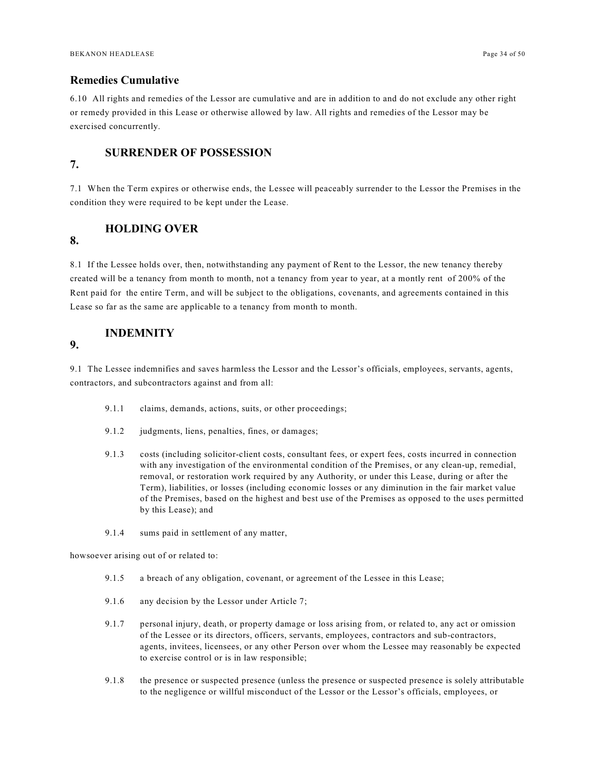### <span id="page-33-0"></span>**Remedies Cumulative**

6.10 All rights and remedies of the Lessor are cumulative and are in addition to and do not exclude any other right or remedy provided in this Lease or otherwise allowed by law. All rights and remedies of the Lessor may be exercised concurrently.

### <span id="page-33-1"></span>**SURRENDER OF POSSESSION**

### **7.**

7.1 When the Term expires or otherwise ends, the Lessee will peaceably surrender to the Lessor the Premises in the condition they were required to be kept under the Lease.

#### <span id="page-33-2"></span>**HOLDING OVER**

### **8.**

8.1 If the Lessee holds over, then, notwithstanding any payment of Rent to the Lessor, the new tenancy thereby created will be a tenancy from month to month, not a tenancy from year to year, at a montly rent of 200% of the Rent paid for the entire Term, and will be subject to the obligations, covenants, and agreements contained in this Lease so far as the same are applicable to a tenancy from month to month.

### <span id="page-33-3"></span>**INDEMNITY**

### **9.**

9.1 The Lessee indemnifies and saves harmless the Lessor and the Lessor's officials, employees, servants, agents, contractors, and subcontractors against and from all:

- 9.1.1 claims, demands, actions, suits, or other proceedings;
- 9.1.2 judgments, liens, penalties, fines, or damages;
- 9.1.3 costs (including solicitor-client costs, consultant fees, or expert fees, costs incurred in connection with any investigation of the environmental condition of the Premises, or any clean-up, remedial, removal, or restoration work required by any Authority, or under this Lease, during or after the Term), liabilities, or losses (including economic losses or any diminution in the fair market value of the Premises, based on the highest and best use of the Premises as opposed to the uses permitted by this Lease); and
- 9.1.4 sums paid in settlement of any matter,

howsoever arising out of or related to:

- 9.1.5 a breach of any obligation, covenant, or agreement of the Lessee in this Lease;
- 9.1.6 any decision by the Lessor under Article 7;
- 9.1.7 personal injury, death, or property damage or loss arising from, or related to, any act or omission of the Lessee or its directors, officers, servants, employees, contractors and sub-contractors, agents, invitees, licensees, or any other Person over whom the Lessee may reasonably be expected to exercise control or is in law responsible;
- 9.1.8 the presence or suspected presence (unless the presence or suspected presence is solely attributable to the negligence or willful misconduct of the Lessor or the Lessor's officials, employees, or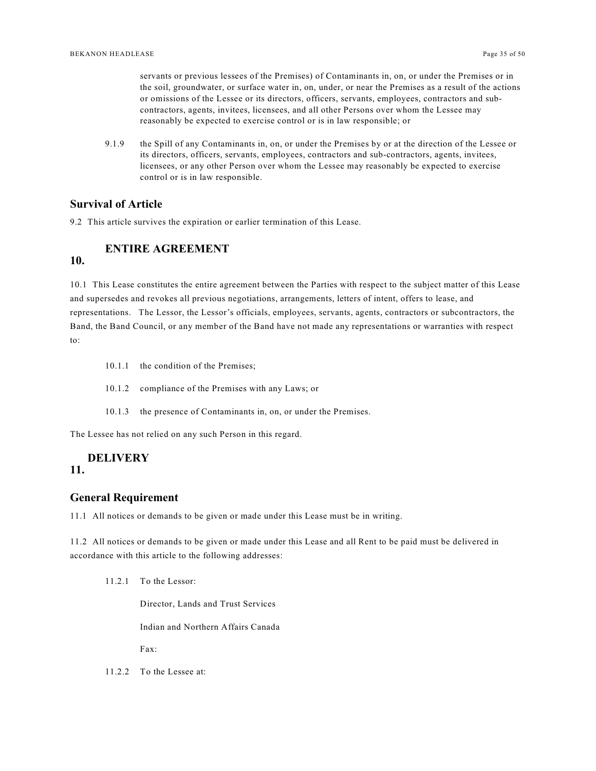servants or previous lessees of the Premises) of Contaminants in, on, or under the Premises or in the soil, groundwater, or surface water in, on, under, or near the Premises as a result of the actions or omissions of the Lessee or its directors, officers, servants, employees, contractors and subcontractors, agents, invitees, licensees, and all other Persons over whom the Lessee may reasonably be expected to exercise control or is in law responsible; or

9.1.9 the Spill of any Contaminants in, on, or under the Premises by or at the direction of the Lessee or its directors, officers, servants, employees, contractors and sub-contractors, agents, invitees, licensees, or any other Person over whom the Lessee may reasonably be expected to exercise control or is in law responsible.

### <span id="page-34-0"></span>**Survival of Article**

9.2 This article survives the expiration or earlier termination of this Lease.

# <span id="page-34-1"></span>**ENTIRE AGREEMENT**

### **10.**

10.1 This Lease constitutes the entire agreement between the Parties with respect to the subject matter of this Lease and supersedes and revokes all previous negotiations, arrangements, letters of intent, offers to lease, and representations. The Lessor, the Lessor's officials, employees, servants, agents, contractors or subcontractors, the Band, the Band Council, or any member of the Band have not made any representations or warranties with respect to:

- 10.1.1 the condition of the Premises;
- 10.1.2 compliance of the Premises with any Laws; or
- 10.1.3 the presence of Contaminants in, on, or under the Premises.

The Lessee has not relied on any such Person in this regard.

### <span id="page-34-2"></span>**DELIVERY**

### **11.**

### <span id="page-34-3"></span>**General Requirement**

11.1 All notices or demands to be given or made under this Lease must be in writing.

11.2 All notices or demands to be given or made under this Lease and all Rent to be paid must be delivered in accordance with this article to the following addresses:

11.2.1 To the Lessor:

Director, Lands and Trust Services

Indian and Northern Affairs Canada

Fax:

11.2.2 To the Lessee at: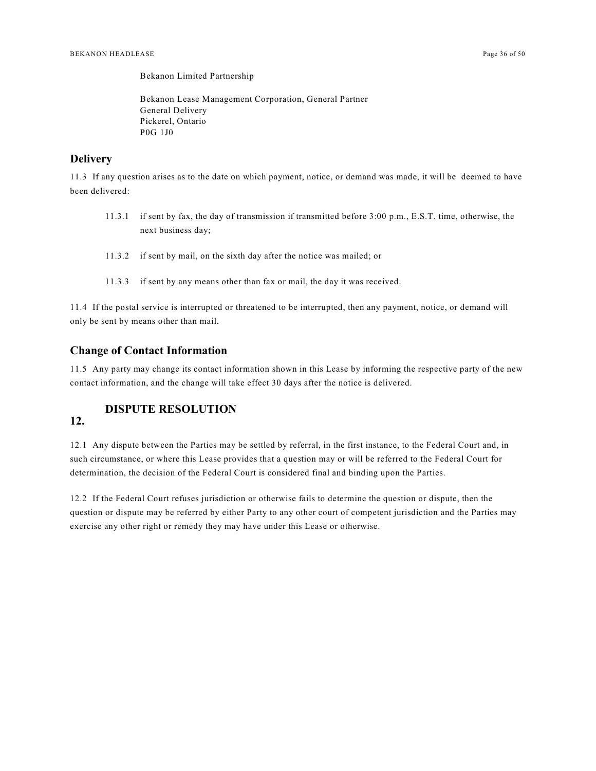Bekanon Limited Partnership

Bekanon Lease Management Corporation, General Partner General Delivery Pickerel, Ontario P0G 1J0

#### <span id="page-35-0"></span>**Delivery**

11.3 If any question arises as to the date on which payment, notice, or demand was made, it will be deemed to have been delivered:

- 11.3.1 if sent by fax, the day of transmission if transmitted before 3:00 p.m., E.S.T. time, otherwise, the next business day;
- 11.3.2 if sent by mail, on the sixth day after the notice was mailed; or
- 11.3.3 if sent by any means other than fax or mail, the day it was received.

11.4 If the postal service is interrupted or threatened to be interrupted, then any payment, notice, or demand will only be sent by means other than mail.

#### <span id="page-35-1"></span>**Change of Contact Information**

11.5 Any party may change its contact information shown in this Lease by informing the respective party of the new contact information, and the change will take effect 30 days after the notice is delivered.

### <span id="page-35-2"></span>**DISPUTE RESOLUTION**

### **12.**

12.1 Any dispute between the Parties may be settled by referral, in the first instance, to the Federal Court and, in such circumstance, or where this Lease provides that a question may or will be referred to the Federal Court for determination, the decision of the Federal Court is considered final and binding upon the Parties.

12.2 If the Federal Court refuses jurisdiction or otherwise fails to determine the question or dispute, then the question or dispute may be referred by either Party to any other court of competent jurisdiction and the Parties may exercise any other right or remedy they may have under this Lease or otherwise.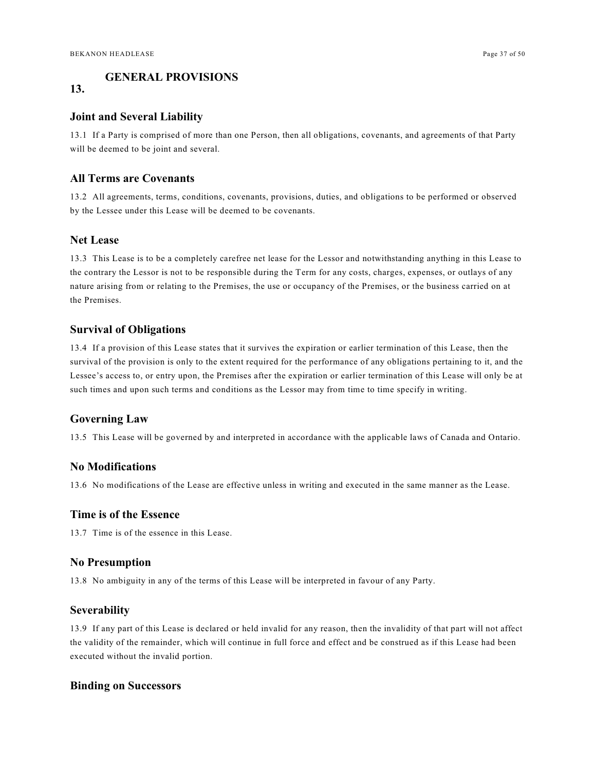### <span id="page-36-0"></span>**GENERAL PROVISIONS**

### **13.**

#### <span id="page-36-1"></span>**Joint and Several Liability**

13.1 If a Party is comprised of more than one Person, then all obligations, covenants, and agreements of that Party will be deemed to be joint and several.

### <span id="page-36-2"></span>**All Terms are Covenants**

13.2 All agreements, terms, conditions, covenants, provisions, duties, and obligations to be performed or observed by the Lessee under this Lease will be deemed to be covenants.

### <span id="page-36-3"></span>**Net Lease**

13.3 This Lease is to be a completely carefree net lease for the Lessor and notwithstanding anything in this Lease to the contrary the Lessor is not to be responsible during the Term for any costs, charges, expenses, or outlays of any nature arising from or relating to the Premises, the use or occupancy of the Premises, or the business carried on at the Premises.

### <span id="page-36-4"></span>**Survival of Obligations**

13.4 If a provision of this Lease states that it survives the expiration or earlier termination of this Lease, then the survival of the provision is only to the extent required for the performance of any obligations pertaining to it, and the Lessee's access to, or entry upon, the Premises after the expiration or earlier termination of this Lease will only be at such times and upon such terms and conditions as the Lessor may from time to time specify in writing.

### <span id="page-36-5"></span>**Governing Law**

13.5 This Lease will be governed by and interpreted in accordance with the applicable laws of Canada and Ontario.

#### <span id="page-36-6"></span>**No Modifications**

13.6 No modifications of the Lease are effective unless in writing and executed in the same manner as the Lease.

### <span id="page-36-7"></span>**Time is of the Essence**

13.7 Time is of the essence in this Lease.

### <span id="page-36-8"></span>**No Presumption**

13.8 No ambiguity in any of the terms of this Lease will be interpreted in favour of any Party.

#### <span id="page-36-9"></span>**Severability**

13.9 If any part of this Lease is declared or held invalid for any reason, then the invalidity of that part will not affect the validity of the remainder, which will continue in full force and effect and be construed as if this Lease had been executed without the invalid portion.

#### <span id="page-36-10"></span>**Binding on Successors**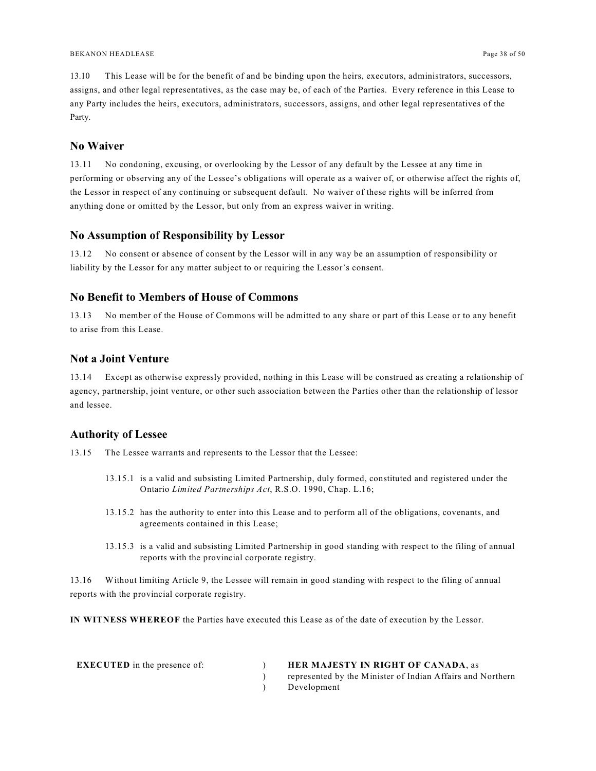13.10 This Lease will be for the benefit of and be binding upon the heirs, executors, administrators, successors, assigns, and other legal representatives, as the case may be, of each of the Parties. Every reference in this Lease to any Party includes the heirs, executors, administrators, successors, assigns, and other legal representatives of the Party.

### <span id="page-37-0"></span>**No Waiver**

13.11 No condoning, excusing, or overlooking by the Lessor of any default by the Lessee at any time in performing or observing any of the Lessee's obligations will operate as a waiver of, or otherwise affect the rights of, the Lessor in respect of any continuing or subsequent default. No waiver of these rights will be inferred from anything done or omitted by the Lessor, but only from an express waiver in writing.

### <span id="page-37-1"></span>**No Assumption of Responsibility by Lessor**

13.12 No consent or absence of consent by the Lessor will in any way be an assumption of responsibility or liability by the Lessor for any matter subject to or requiring the Lessor's consent.

### <span id="page-37-2"></span>**No Benefit to Members of House of Commons**

13.13 No member of the House of Commons will be admitted to any share or part of this Lease or to any benefit to arise from this Lease.

### <span id="page-37-3"></span>**Not a Joint Venture**

13.14 Except as otherwise expressly provided, nothing in this Lease will be construed as creating a relationship of agency, partnership, joint venture, or other such association between the Parties other than the relationship of lessor and lessee.

#### <span id="page-37-4"></span>**Authority of Lessee**

13.15 The Lessee warrants and represents to the Lessor that the Lessee:

- 13.15.1 is a valid and subsisting Limited Partnership, duly formed, constituted and registered under the Ontario *Limited Partnerships Act*, R.S.O. 1990, Chap. L.16;
- 13.15.2 has the authority to enter into this Lease and to perform all of the obligations, covenants, and agreements contained in this Lease;
- 13.15.3 is a valid and subsisting Limited Partnership in good standing with respect to the filing of annual reports with the provincial corporate registry.

13.16 Without limiting Article 9, the Lessee will remain in good standing with respect to the filing of annual reports with the provincial corporate registry.

**IN WITNESS WHEREOF** the Parties have executed this Lease as of the date of execution by the Lessor.

| <b>EXECUTED</b> in the presence of: | <b>HER MAJESTY IN RIGHT OF CANADA, as</b>                  |
|-------------------------------------|------------------------------------------------------------|
|                                     | represented by the Minister of Indian Affairs and Northern |
|                                     | Development                                                |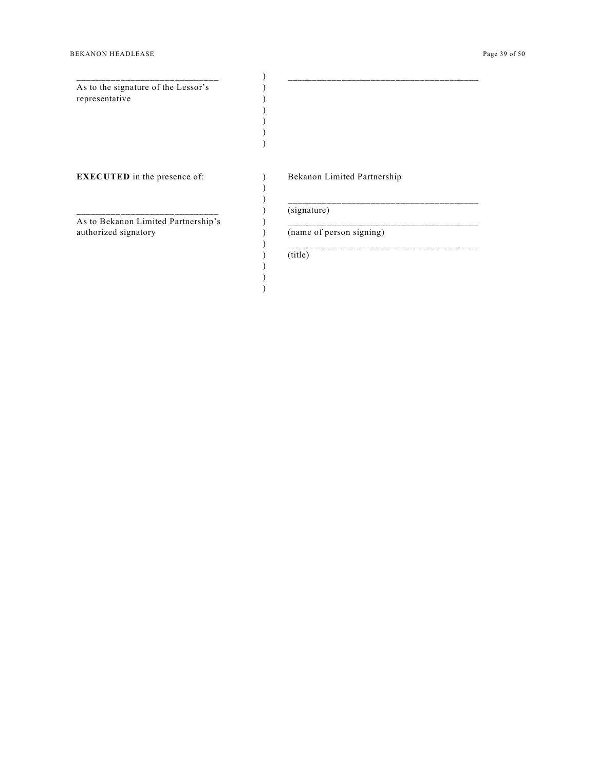#### BEKANON HEADLEASE Page 39 of 50

\_\_\_\_\_\_\_\_\_\_\_\_\_\_\_\_\_\_\_\_\_\_\_\_\_\_\_\_\_ As to the signature of the Lessor's representative

) ) ) ) ) ) ) )

**EXECUTED** in the presence of:

\_\_\_\_\_\_\_\_\_\_\_\_\_\_\_\_\_\_\_\_\_\_\_\_\_\_\_\_\_ As to Bekanon Limited Partnership's authorized signatory

|             | Bekanon Limited Partnership |  |  |
|-------------|-----------------------------|--|--|
| (signature) |                             |  |  |
|             | (name of person signing)    |  |  |
| (title)     |                             |  |  |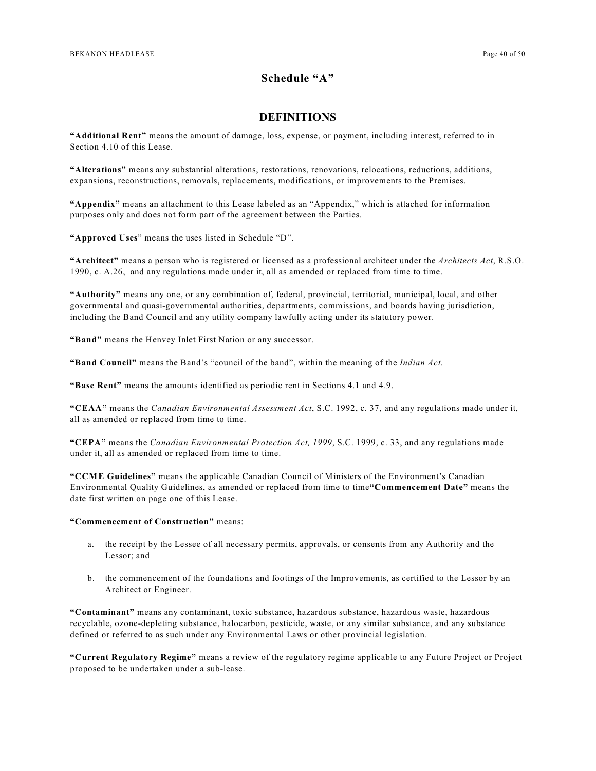### **Schedule "A"**

### <span id="page-39-0"></span>**DEFINITIONS**

**"Additional Rent"** means the amount of damage, loss, expense, or payment, including interest, referred to in Section 4.10 of this Lease.

**"Alterations"** means any substantial alterations, restorations, renovations, relocations, reductions, additions, expansions, reconstructions, removals, replacements, modifications, or improvements to the Premises.

**"Appendix"** means an attachment to this Lease labeled as an "Appendix," which is attached for information purposes only and does not form part of the agreement between the Parties.

**"Approved Uses**" means the uses listed in Schedule "D".

**"Architect"** means a person who is registered or licensed as a professional architect under the *Architects Act*, R.S.O. 1990, c. A.26, and any regulations made under it, all as amended or replaced from time to time.

**"Authority"** means any one, or any combination of, federal, provincial, territorial, municipal, local, and other governmental and quasi-governmental authorities, departments, commissions, and boards having jurisdiction, including the Band Council and any utility company lawfully acting under its statutory power.

**"Band"** means the Henvey Inlet First Nation or any successor.

**"Band Council"** means the Band's "council of the band", within the meaning of the *Indian Act*.

**"Base Rent"** means the amounts identified as periodic rent in Sections 4.1 and 4.9.

**"CEAA"** means the *Canadian Environmental Assessment Act*, S.C. 1992, c. 37, and any regulations made under it, all as amended or replaced from time to time.

**"CEPA"** means the *Canadian Environmental Protection Act, 1999*, S.C. 1999, c. 33, and any regulations made under it, all as amended or replaced from time to time.

**"CCME Guidelines"** means the applicable Canadian Council of Ministers of the Environment's Canadian Environmental Quality Guidelines, as amended or replaced from time to time**"Commencement Date"** means the date first written on page one of this Lease.

#### **"Commencement of Construction"** means:

- a. the receipt by the Lessee of all necessary permits, approvals, or consents from any Authority and the Lessor; and
- b. the commencement of the foundations and footings of the Improvements, as certified to the Lessor by an Architect or Engineer.

**"Contaminant"** means any contaminant, toxic substance, hazardous substance, hazardous waste, hazardous recyclable, ozone-depleting substance, halocarbon, pesticide, waste, or any similar substance, and any substance defined or referred to as such under any Environmental Laws or other provincial legislation.

**"Current Regulatory Regime"** means a review of the regulatory regime applicable to any Future Project or Project proposed to be undertaken under a sub-lease.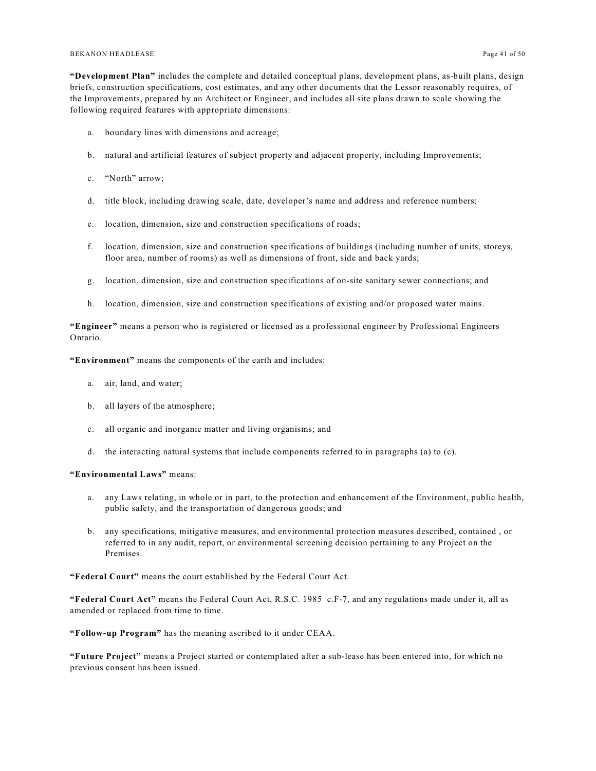#### BEKANON HEADLEASE Page 41 of 50

**"Development Plan"** includes the complete and detailed conceptual plans, development plans, as-built plans, design briefs, construction specifications, cost estimates, and any other documents that the Lessor reasonably requires, of the Improvements, prepared by an Architect or Engineer, and includes all site plans drawn to scale showing the following required features with appropriate dimensions:

- a. boundary lines with dimensions and acreage;
- b. natural and artificial features of subject property and adjacent property, including Improvements;
- c. "North" arrow;
- d. title block, including drawing scale, date, developer's name and address and reference numbers;
- e. location, dimension, size and construction specifications of roads;
- f. location, dimension, size and construction specifications of buildings (including number of units, storeys, floor area, number of rooms) as well as dimensions of front, side and back yards;
- g. location, dimension, size and construction specifications of on-site sanitary sewer connections; and
- h. location, dimension, size and construction specifications of existing and/or proposed water mains.

**"Engineer"** means a person who is registered or licensed as a professional engineer by Professional Engineers Ontario.

**"Environment"** means the components of the earth and includes:

- a. air, land, and water;
- b. all layers of the atmosphere;
- c. all organic and inorganic matter and living organisms; and
- d. the interacting natural systems that include components referred to in paragraphs (a) to (c).

#### **"Environmental Laws"** means:

- a. any Laws relating, in whole or in part, to the protection and enhancement of the Environment, public health, public safety, and the transportation of dangerous goods; and
- b. any specifications, mitigative measures, and environmental protection measures described, contained , or referred to in any audit, report, or environmental screening decision pertaining to any Project on the Premises.

**"Federal Court"** means the court established by the Federal Court Act.

**"Federal Court Act"** means the Federal Court Act, R.S.C. 1985 c.F-7, and any regulations made under it, all as amended or replaced from time to time.

**"Follow-up Program"** has the meaning ascribed to it under CEAA.

**"Future Project"** means a Project started or contemplated after a sub-lease has been entered into, for which no previous consent has been issued.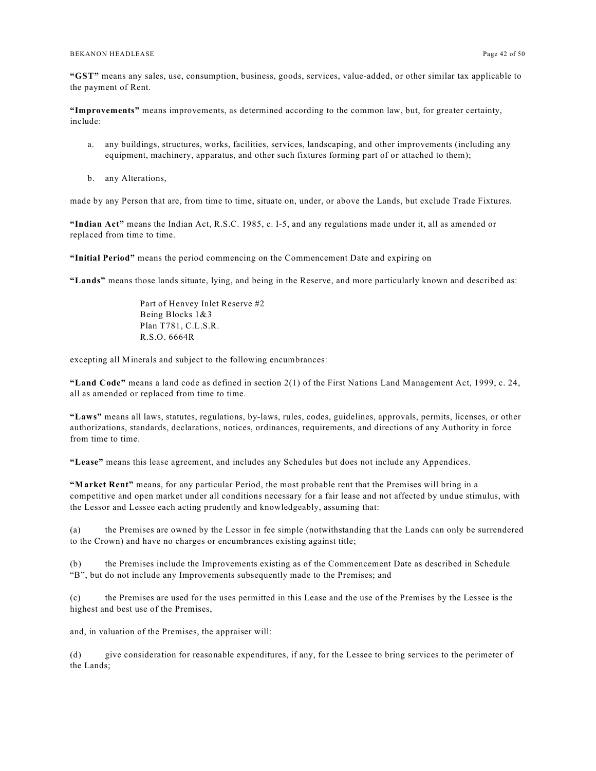**"GST"** means any sales, use, consumption, business, goods, services, value-added, or other similar tax applicable to the payment of Rent.

**"Improvements"** means improvements, as determined according to the common law, but, for greater certainty, include:

- a. any buildings, structures, works, facilities, services, landscaping, and other improvements (including any equipment, machinery, apparatus, and other such fixtures forming part of or attached to them);
- b. any Alterations,

made by any Person that are, from time to time, situate on, under, or above the Lands, but exclude Trade Fixtures.

**"Indian Act"** means the Indian Act, R.S.C. 1985, c. I-5, and any regulations made under it, all as amended or replaced from time to time.

**"Initial Period"** means the period commencing on the Commencement Date and expiring on

**"Lands"** means those lands situate, lying, and being in the Reserve, and more particularly known and described as:

Part of Henvey Inlet Reserve #2 Being Blocks 1&3 Plan T781, C.L.S.R. R.S.O. 6664R

excepting all Minerals and subject to the following encumbrances:

**"Land Code"** means a land code as defined in section 2(1) of the First Nations Land Management Act, 1999, c. 24, all as amended or replaced from time to time.

**"Laws"** means all laws, statutes, regulations, by-laws, rules, codes, guidelines, approvals, permits, licenses, or other authorizations, standards, declarations, notices, ordinances, requirements, and directions of any Authority in force from time to time.

**"Lease"** means this lease agreement, and includes any Schedules but does not include any Appendices.

**"Market Rent"** means, for any particular Period, the most probable rent that the Premises will bring in a competitive and open market under all conditions necessary for a fair lease and not affected by undue stimulus, with the Lessor and Lessee each acting prudently and knowledgeably, assuming that:

(a) the Premises are owned by the Lessor in fee simple (notwithstanding that the Lands can only be surrendered to the Crown) and have no charges or encumbrances existing against title;

(b) the Premises include the Improvements existing as of the Commencement Date as described in Schedule "B", but do not include any Improvements subsequently made to the Premises; and

(c) the Premises are used for the uses permitted in this Lease and the use of the Premises by the Lessee is the highest and best use of the Premises,

and, in valuation of the Premises, the appraiser will:

(d) give consideration for reasonable expenditures, if any, for the Lessee to bring services to the perimeter of the Lands;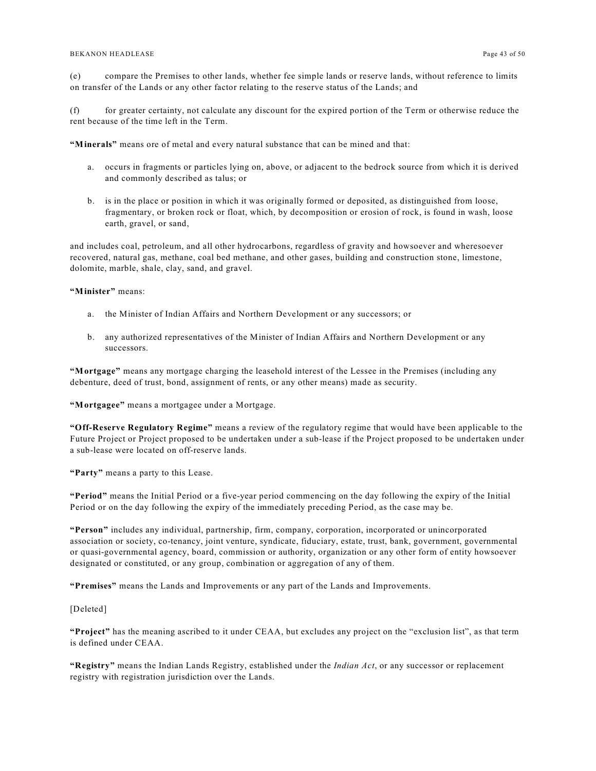#### BEKANON HEADLEASE Page 43 of 50

(e) compare the Premises to other lands, whether fee simple lands or reserve lands, without reference to limits on transfer of the Lands or any other factor relating to the reserve status of the Lands; and

(f) for greater certainty, not calculate any discount for the expired portion of the Term or otherwise reduce the rent because of the time left in the Term.

**"Minerals"** means ore of metal and every natural substance that can be mined and that:

- a. occurs in fragments or particles lying on, above, or adjacent to the bedrock source from which it is derived and commonly described as talus; or
- b. is in the place or position in which it was originally formed or deposited, as distinguished from loose, fragmentary, or broken rock or float, which, by decomposition or erosion of rock, is found in wash, loose earth, gravel, or sand,

and includes coal, petroleum, and all other hydrocarbons, regardless of gravity and howsoever and wheresoever recovered, natural gas, methane, coal bed methane, and other gases, building and construction stone, limestone, dolomite, marble, shale, clay, sand, and gravel.

**"Minister"** means:

- a. the Minister of Indian Affairs and Northern Development or any successors; or
- b. any authorized representatives of the Minister of Indian Affairs and Northern Development or any successors.

**"Mortgage"** means any mortgage charging the leasehold interest of the Lessee in the Premises (including any debenture, deed of trust, bond, assignment of rents, or any other means) made as security.

**"Mortgagee"** means a mortgagee under a Mortgage.

**"Off-Reserve Regulatory Regime"** means a review of the regulatory regime that would have been applicable to the Future Project or Project proposed to be undertaken under a sub-lease if the Project proposed to be undertaken under a sub-lease were located on off-reserve lands.

**"Party"** means a party to this Lease.

**"Period"** means the Initial Period or a five-year period commencing on the day following the expiry of the Initial Period or on the day following the expiry of the immediately preceding Period, as the case may be.

**"Person"** includes any individual, partnership, firm, company, corporation, incorporated or unincorporated association or society, co-tenancy, joint venture, syndicate, fiduciary, estate, trust, bank, government, governmental or quasi-governmental agency, board, commission or authority, organization or any other form of entity howsoever designated or constituted, or any group, combination or aggregation of any of them.

**"Premises"** means the Lands and Improvements or any part of the Lands and Improvements.

[Deleted]

**"Project"** has the meaning ascribed to it under CEAA, but excludes any project on the "exclusion list", as that term is defined under CEAA.

**"Registry"** means the Indian Lands Registry, established under the *Indian Act*, or any successor or replacement registry with registration jurisdiction over the Lands.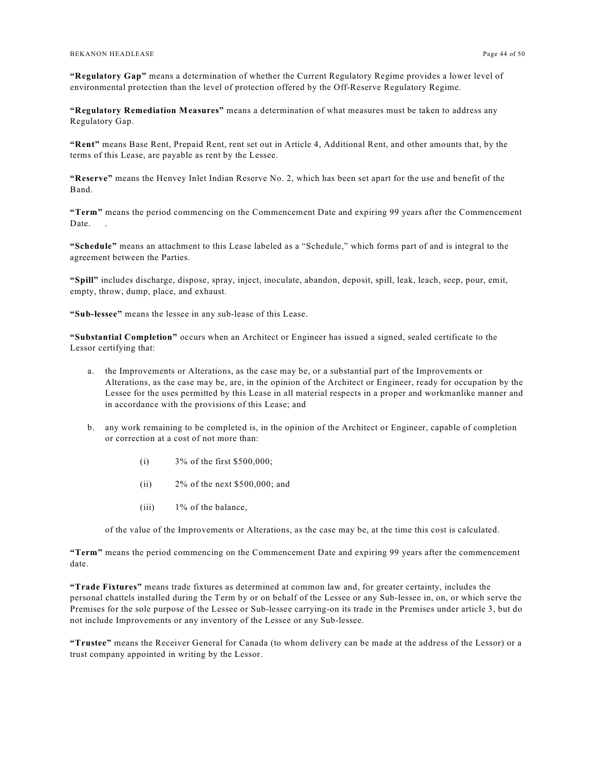**"Regulatory Gap"** means a determination of whether the Current Regulatory Regime provides a lower level of environmental protection than the level of protection offered by the Off-Reserve Regulatory Regime.

**"Regulatory Remediation Measures"** means a determination of what measures must be taken to address any Regulatory Gap.

**"Rent"** means Base Rent, Prepaid Rent, rent set out in Article 4, Additional Rent, and other amounts that, by the terms of this Lease, are payable as rent by the Lessee.

**"Reserve"** means the Henvey Inlet Indian Reserve No. 2, which has been set apart for the use and benefit of the Band.

**"Term"** means the period commencing on the Commencement Date and expiring 99 years after the Commencement Date.

**"Schedule"** means an attachment to this Lease labeled as a "Schedule," which forms part of and is integral to the agreement between the Parties.

**"Spill"** includes discharge, dispose, spray, inject, inoculate, abandon, deposit, spill, leak, leach, seep, pour, emit, empty, throw, dump, place, and exhaust.

**"Sub-lessee"** means the lessee in any sub-lease of this Lease.

**"Substantial Completion"** occurs when an Architect or Engineer has issued a signed, sealed certificate to the Lessor certifying that:

- a. the Improvements or Alterations, as the case may be, or a substantial part of the Improvements or Alterations, as the case may be, are, in the opinion of the Architect or Engineer, ready for occupation by the Lessee for the uses permitted by this Lease in all material respects in a proper and workmanlike manner and in accordance with the provisions of this Lease; and
- b. any work remaining to be completed is, in the opinion of the Architect or Engineer, capable of completion or correction at a cost of not more than:
	- (i) 3% of the first \$500,000;
	- (ii)  $2\%$  of the next \$500,000; and
	- (iii) 1% of the balance,

of the value of the Improvements or Alterations, as the case may be, at the time this cost is calculated.

**"Term"** means the period commencing on the Commencement Date and expiring 99 years after the commencement date.

**"Trade Fixtures"** means trade fixtures as determined at common law and, for greater certainty, includes the personal chattels installed during the Term by or on behalf of the Lessee or any Sub-lessee in, on, or which serve the Premises for the sole purpose of the Lessee or Sub-lessee carrying-on its trade in the Premises under article 3, but do not include Improvements or any inventory of the Lessee or any Sub-lessee.

**"Trustee"** means the Receiver General for Canada (to whom delivery can be made at the address of the Lessor) or a trust company appointed in writing by the Lessor.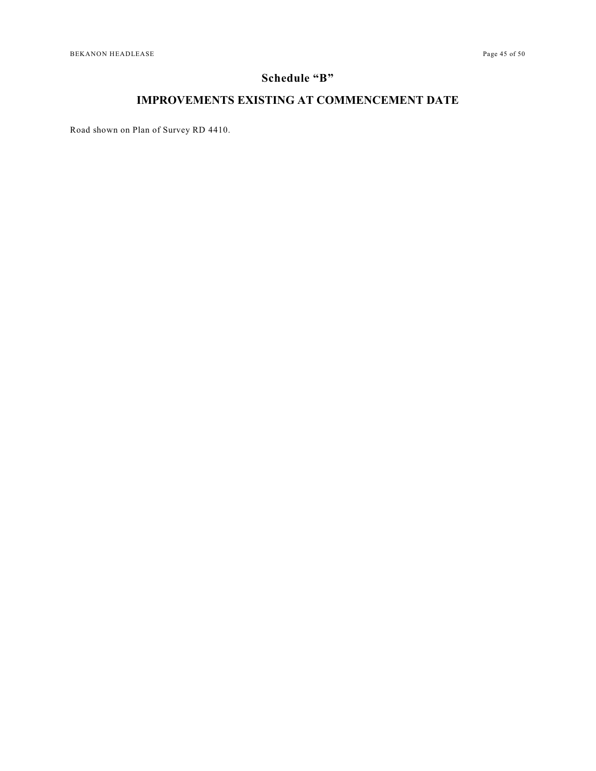# **Schedule "B"**

# <span id="page-44-0"></span>**IMPROVEMENTS EXISTING AT COMMENCEMENT DATE**

Road shown on Plan of Survey RD 4410.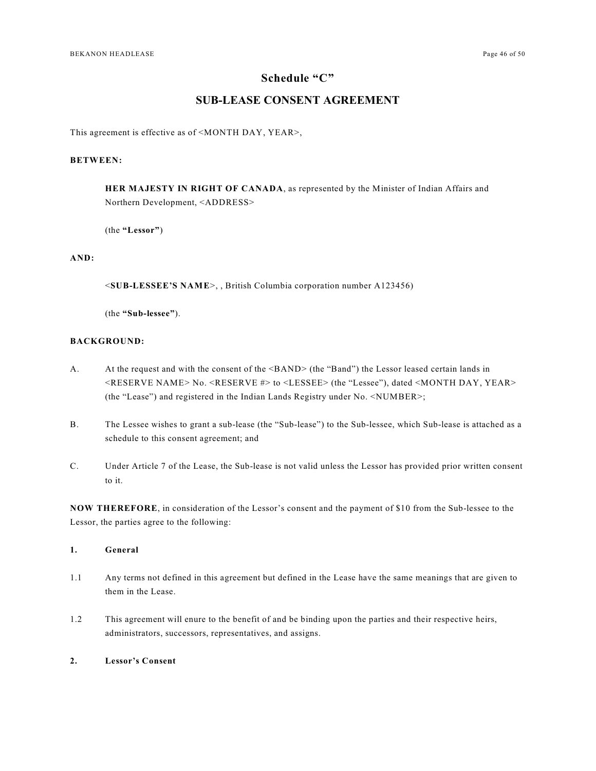#### **Schedule "C"**

### <span id="page-45-0"></span>**SUB-LEASE CONSENT AGREEMENT**

This agreement is effective as of <MONTH DAY, YEAR>,

### **BETWEEN:**

**HER MAJESTY IN RIGHT OF CANADA**, as represented by the Minister of Indian Affairs and Northern Development, <ADDRESS>

(the **"Lessor"**)

#### **AND:**

<**SUB-LESSEE'S NAME**>, , British Columbia corporation number A123456)

(the **"Sub-lessee"**).

#### **BACKGROUND:**

- A. At the request and with the consent of the  $\langle$ BAND> (the "Band") the Lessor leased certain lands in <RESERVE NAME> No. <RESERVE #> to <LESSEE> (the "Lessee"), dated <MONTH DAY, YEAR> (the "Lease") and registered in the Indian Lands Registry under No. <NUMBER>;
- B. The Lessee wishes to grant a sub-lease (the "Sub-lease") to the Sub-lessee, which Sub-lease is attached as a schedule to this consent agreement; and
- C. Under Article 7 of the Lease, the Sub-lease is not valid unless the Lessor has provided prior written consent to it.

**NOW THEREFORE**, in consideration of the Lessor's consent and the payment of \$10 from the Sub-lessee to the Lessor, the parties agree to the following:

#### **1. General**

- 1.1 Any terms not defined in this agreement but defined in the Lease have the same meanings that are given to them in the Lease.
- 1.2 This agreement will enure to the benefit of and be binding upon the parties and their respective heirs, administrators, successors, representatives, and assigns.

#### **2. Lessor's Consent**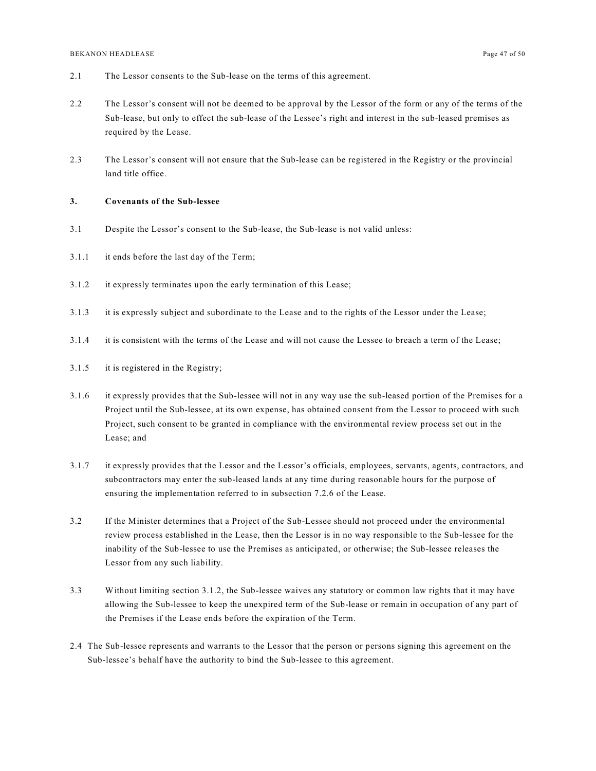- 2.1 The Lessor consents to the Sub-lease on the terms of this agreement.
- 2.2 The Lessor's consent will not be deemed to be approval by the Lessor of the form or any of the terms of the Sub-lease, but only to effect the sub-lease of the Lessee's right and interest in the sub-leased premises as required by the Lease.
- 2.3 The Lessor's consent will not ensure that the Sub-lease can be registered in the Registry or the provincial land title office.

#### **3. Covenants of the Sub-lessee**

- 3.1 Despite the Lessor's consent to the Sub-lease, the Sub-lease is not valid unless:
- 3.1.1 it ends before the last day of the Term;
- 3.1.2 it expressly terminates upon the early termination of this Lease;
- 3.1.3 it is expressly subject and subordinate to the Lease and to the rights of the Lessor under the Lease;
- 3.1.4 it is consistent with the terms of the Lease and will not cause the Lessee to breach a term of the Lease;
- 3.1.5 it is registered in the Registry;
- 3.1.6 it expressly provides that the Sub-lessee will not in any way use the sub-leased portion of the Premises for a Project until the Sub-lessee, at its own expense, has obtained consent from the Lessor to proceed with such Project, such consent to be granted in compliance with the environmental review process set out in the Lease; and
- 3.1.7 it expressly provides that the Lessor and the Lessor's officials, employees, servants, agents, contractors, and subcontractors may enter the sub-leased lands at any time during reasonable hours for the purpose of ensuring the implementation referred to in subsection 7.2.6 of the Lease.
- 3.2 If the Minister determines that a Project of the Sub-Lessee should not proceed under the environmental review process established in the Lease, then the Lessor is in no way responsible to the Sub-lessee for the inability of the Sub-lessee to use the Premises as anticipated, or otherwise; the Sub-lessee releases the Lessor from any such liability.
- 3.3 Without limiting section 3.1.2, the Sub-lessee waives any statutory or common law rights that it may have allowing the Sub-lessee to keep the unexpired term of the Sub-lease or remain in occupation of any part of the Premises if the Lease ends before the expiration of the Term.
- 2.4 The Sub-lessee represents and warrants to the Lessor that the person or persons signing this agreement on the Sub-lessee's behalf have the authority to bind the Sub-lessee to this agreement.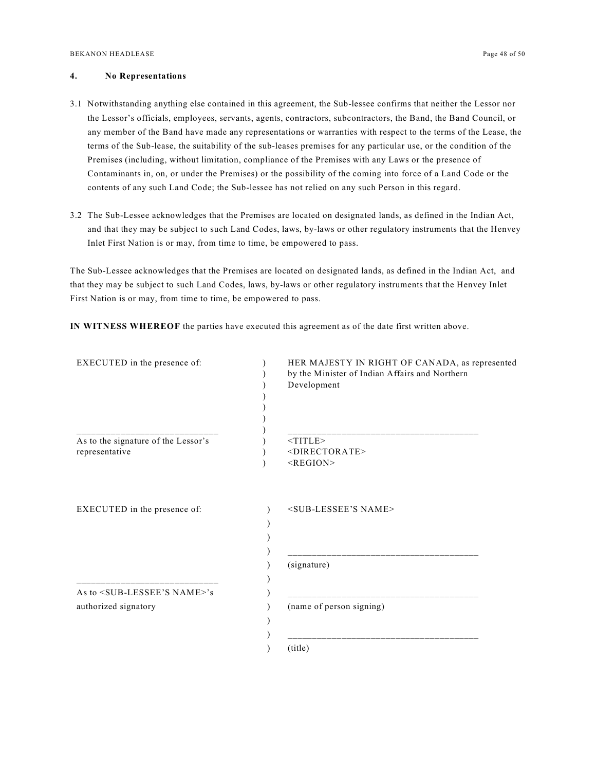#### **4. No Representations**

- 3.1 Notwithstanding anything else contained in this agreement, the Sub-lessee confirms that neither the Lessor nor the Lessor's officials, employees, servants, agents, contractors, subcontractors, the Band, the Band Council, or any member of the Band have made any representations or warranties with respect to the terms of the Lease, the terms of the Sub-lease, the suitability of the sub-leases premises for any particular use, or the condition of the Premises (including, without limitation, compliance of the Premises with any Laws or the presence of Contaminants in, on, or under the Premises) or the possibility of the coming into force of a Land Code or the contents of any such Land Code; the Sub-lessee has not relied on any such Person in this regard.
- 3.2 The Sub-Lessee acknowledges that the Premises are located on designated lands, as defined in the Indian Act, and that they may be subject to such Land Codes, laws, by-laws or other regulatory instruments that the Henvey Inlet First Nation is or may, from time to time, be empowered to pass.

The Sub-Lessee acknowledges that the Premises are located on designated lands, as defined in the Indian Act, and that they may be subject to such Land Codes, laws, by-laws or other regulatory instruments that the Henvey Inlet First Nation is or may, from time to time, be empowered to pass.

**IN WITNESS WHEREOF** the parties have executed this agreement as of the date first written above.

| EXECUTED in the presence of:                  | HER MAJESTY IN RIGHT OF CANADA, as represented<br>by the Minister of Indian Affairs and Northern<br>Development |
|-----------------------------------------------|-----------------------------------------------------------------------------------------------------------------|
| As to the signature of the Lessor's           | $<$ TITLE $>$                                                                                                   |
| representative                                | <directorate><br/><math>&lt;</math>REGION<math>&gt;</math></directorate>                                        |
| EXECUTED in the presence of:                  | <sub-lessee's name=""></sub-lessee's>                                                                           |
|                                               | (signature)                                                                                                     |
| As to <sub-lessee's name="">'s</sub-lessee's> |                                                                                                                 |
| authorized signatory                          | (name of person signing)                                                                                        |
|                                               |                                                                                                                 |
|                                               | (title)                                                                                                         |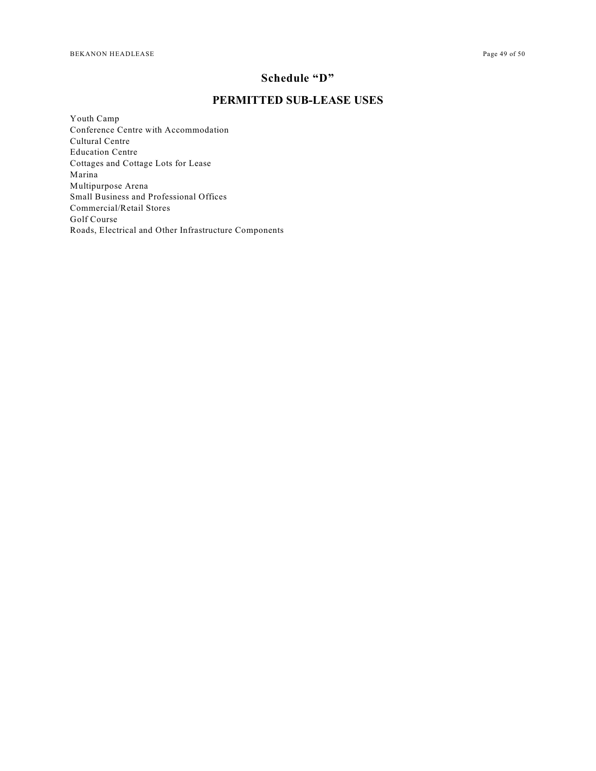## **Schedule "D"**

### <span id="page-48-0"></span>**PERMITTED SUB-LEASE USES**

Youth Camp Conference Centre with Accommodation Cultural Centre Education Centre Cottages and Cottage Lots for Lease Marina Multipurpose Arena Small Business and Professional Offices Commercial/Retail Stores Golf Course Roads, Electrical and Other Infrastructure Components